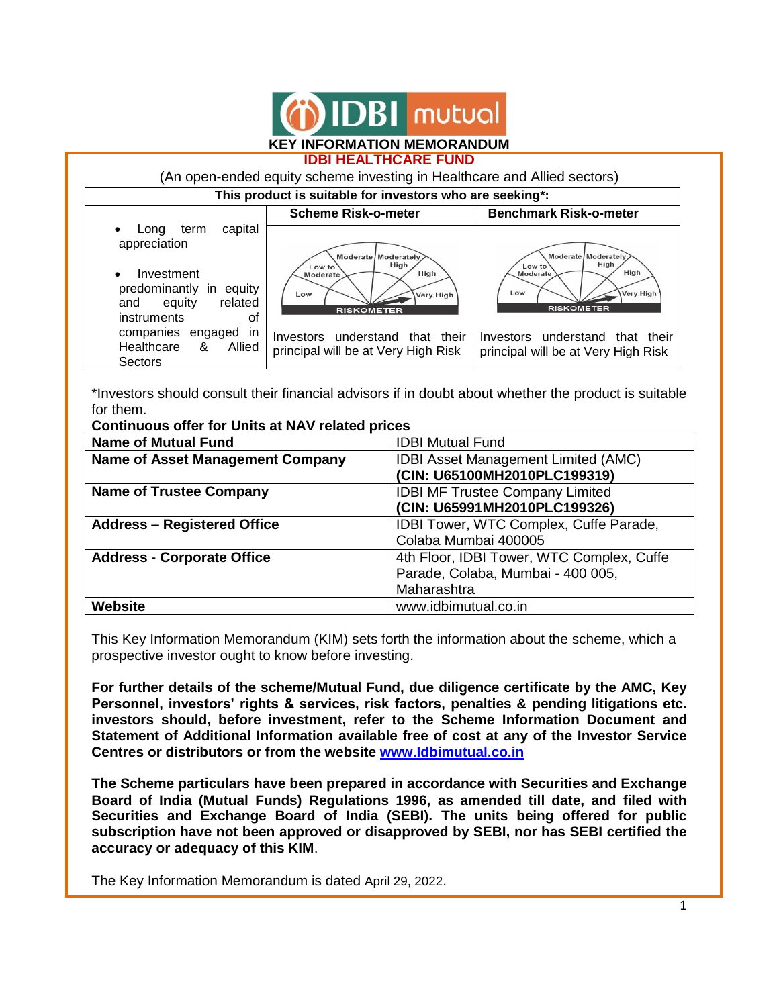

## **IDBI HEALTHCARE FUND**



\*Investors should consult their financial advisors if in doubt about whether the product is suitable for them. **Continuous offer for Units at NAV related prices**

| oommaddo onor for onlig at hAT foldica phoco |                                            |  |  |  |
|----------------------------------------------|--------------------------------------------|--|--|--|
| <b>Name of Mutual Fund</b>                   | <b>IDBI Mutual Fund</b>                    |  |  |  |
| <b>Name of Asset Management Company</b>      | <b>IDBI Asset Management Limited (AMC)</b> |  |  |  |
|                                              | (CIN: U65100MH2010PLC199319)               |  |  |  |
| <b>Name of Trustee Company</b>               | <b>IDBI MF Trustee Company Limited</b>     |  |  |  |
|                                              | (CIN: U65991MH2010PLC199326)               |  |  |  |
| <b>Address - Registered Office</b>           | IDBI Tower, WTC Complex, Cuffe Parade,     |  |  |  |
|                                              | Colaba Mumbai 400005                       |  |  |  |
| <b>Address - Corporate Office</b>            | 4th Floor, IDBI Tower, WTC Complex, Cuffe  |  |  |  |
|                                              | Parade, Colaba, Mumbai - 400 005,          |  |  |  |
|                                              | Maharashtra                                |  |  |  |
| <b>Website</b>                               | www.idbimutual.co.in                       |  |  |  |

This Key Information Memorandum (KIM) sets forth the information about the scheme, which a prospective investor ought to know before investing.

**For further details of the scheme/Mutual Fund, due diligence certificate by the AMC, Key Personnel, investors' rights & services, risk factors, penalties & pending litigations etc. investors should, before investment, refer to the Scheme Information Document and Statement of Additional Information available free of cost at any of the Investor Service Centres or distributors or from the website [www.Idbimutual.co.in](http://www.idbimutual.co.in/)**

**The Scheme particulars have been prepared in accordance with Securities and Exchange Board of India (Mutual Funds) Regulations 1996, as amended till date, and filed with Securities and Exchange Board of India (SEBI). The units being offered for public subscription have not been approved or disapproved by SEBI, nor has SEBI certified the accuracy or adequacy of this KIM**.

The Key Information Memorandum is dated April 29, 2022.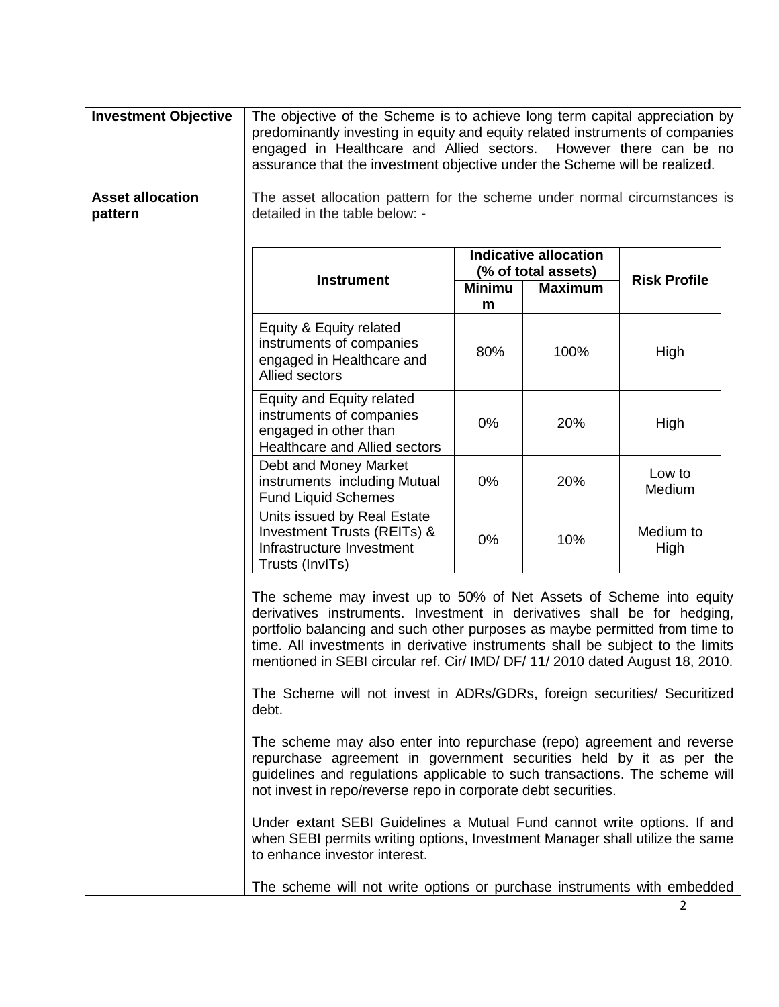| <b>Investment Objective</b>        | The objective of the Scheme is to achieve long term capital appreciation by<br>predominantly investing in equity and equity related instruments of companies<br>engaged in Healthcare and Allied sectors. However there can be no<br>assurance that the investment objective under the Scheme will be realized.                                                                                                                                                                        |                    |                |                     |
|------------------------------------|----------------------------------------------------------------------------------------------------------------------------------------------------------------------------------------------------------------------------------------------------------------------------------------------------------------------------------------------------------------------------------------------------------------------------------------------------------------------------------------|--------------------|----------------|---------------------|
| <b>Asset allocation</b><br>pattern | The asset allocation pattern for the scheme under normal circumstances is<br>detailed in the table below: -                                                                                                                                                                                                                                                                                                                                                                            |                    |                |                     |
|                                    | <b>Indicative allocation</b><br>(% of total assets)                                                                                                                                                                                                                                                                                                                                                                                                                                    |                    |                | <b>Risk Profile</b> |
|                                    | <b>Instrument</b>                                                                                                                                                                                                                                                                                                                                                                                                                                                                      | <b>Minimu</b><br>m | <b>Maximum</b> |                     |
|                                    | Equity & Equity related<br>instruments of companies<br>engaged in Healthcare and<br><b>Allied sectors</b>                                                                                                                                                                                                                                                                                                                                                                              | 80%                | 100%           | High                |
|                                    | Equity and Equity related<br>instruments of companies<br>engaged in other than<br>Healthcare and Allied sectors                                                                                                                                                                                                                                                                                                                                                                        | 0%                 | 20%            | High                |
|                                    | Debt and Money Market<br>instruments including Mutual<br><b>Fund Liquid Schemes</b>                                                                                                                                                                                                                                                                                                                                                                                                    | 0%                 | 20%            | Low to<br>Medium    |
|                                    | Units issued by Real Estate<br>Investment Trusts (REITs) &<br>Infrastructure Investment<br>Trusts (InvITs)                                                                                                                                                                                                                                                                                                                                                                             | 0%                 | 10%            | Medium to<br>High   |
|                                    | The scheme may invest up to 50% of Net Assets of Scheme into equity<br>derivatives instruments. Investment in derivatives shall be for hedging,<br>portfolio balancing and such other purposes as maybe permitted from time to<br>time. All investments in derivative instruments shall be subject to the limits<br>mentioned in SEBI circular ref. Cir/ IMD/ DF/ 11/ 2010 dated August 18, 2010.<br>The Scheme will not invest in ADRs/GDRs, foreign securities/ Securitized<br>debt. |                    |                |                     |
|                                    | The scheme may also enter into repurchase (repo) agreement and reverse<br>repurchase agreement in government securities held by it as per the<br>guidelines and regulations applicable to such transactions. The scheme will<br>not invest in repo/reverse repo in corporate debt securities.                                                                                                                                                                                          |                    |                |                     |
|                                    | Under extant SEBI Guidelines a Mutual Fund cannot write options. If and<br>when SEBI permits writing options, Investment Manager shall utilize the same<br>to enhance investor interest.                                                                                                                                                                                                                                                                                               |                    |                |                     |
|                                    | The scheme will not write options or purchase instruments with embedded                                                                                                                                                                                                                                                                                                                                                                                                                |                    |                |                     |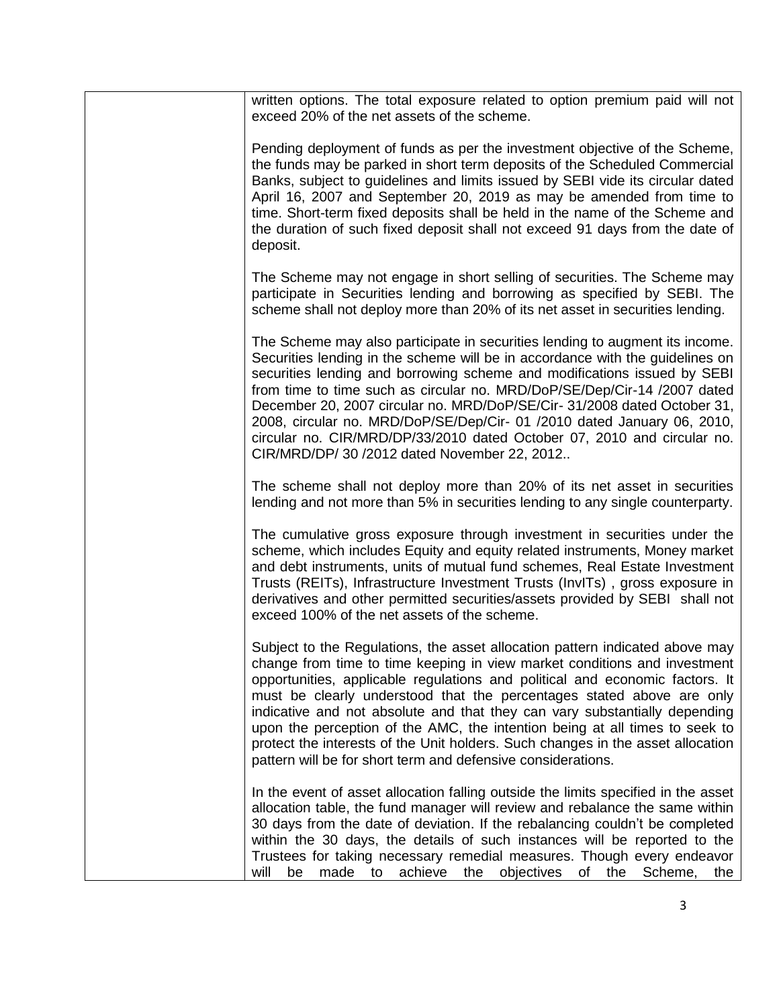| written options. The total exposure related to option premium paid will not<br>exceed 20% of the net assets of the scheme.                                                                                                                                                                                                                                                                                                                                                                                                                                                                                                         |
|------------------------------------------------------------------------------------------------------------------------------------------------------------------------------------------------------------------------------------------------------------------------------------------------------------------------------------------------------------------------------------------------------------------------------------------------------------------------------------------------------------------------------------------------------------------------------------------------------------------------------------|
| Pending deployment of funds as per the investment objective of the Scheme,<br>the funds may be parked in short term deposits of the Scheduled Commercial<br>Banks, subject to guidelines and limits issued by SEBI vide its circular dated<br>April 16, 2007 and September 20, 2019 as may be amended from time to<br>time. Short-term fixed deposits shall be held in the name of the Scheme and<br>the duration of such fixed deposit shall not exceed 91 days from the date of<br>deposit.                                                                                                                                      |
| The Scheme may not engage in short selling of securities. The Scheme may<br>participate in Securities lending and borrowing as specified by SEBI. The<br>scheme shall not deploy more than 20% of its net asset in securities lending.                                                                                                                                                                                                                                                                                                                                                                                             |
| The Scheme may also participate in securities lending to augment its income.<br>Securities lending in the scheme will be in accordance with the guidelines on<br>securities lending and borrowing scheme and modifications issued by SEBI<br>from time to time such as circular no. MRD/DoP/SE/Dep/Cir-14 /2007 dated<br>December 20, 2007 circular no. MRD/DoP/SE/Cir- 31/2008 dated October 31,<br>2008, circular no. MRD/DoP/SE/Dep/Cir- 01 /2010 dated January 06, 2010,<br>circular no. CIR/MRD/DP/33/2010 dated October 07, 2010 and circular no.<br>CIR/MRD/DP/ 30 /2012 dated November 22, 2012                            |
| The scheme shall not deploy more than 20% of its net asset in securities<br>lending and not more than 5% in securities lending to any single counterparty.                                                                                                                                                                                                                                                                                                                                                                                                                                                                         |
| The cumulative gross exposure through investment in securities under the<br>scheme, which includes Equity and equity related instruments, Money market<br>and debt instruments, units of mutual fund schemes, Real Estate Investment<br>Trusts (REITs), Infrastructure Investment Trusts (InvITs), gross exposure in<br>derivatives and other permitted securities/assets provided by SEBI shall not<br>exceed 100% of the net assets of the scheme.                                                                                                                                                                               |
| Subject to the Regulations, the asset allocation pattern indicated above may<br>change from time to time keeping in view market conditions and investment<br>opportunities, applicable regulations and political and economic factors. It<br>must be clearly understood that the percentages stated above are only<br>indicative and not absolute and that they can vary substantially depending<br>upon the perception of the AMC, the intention being at all times to seek to<br>protect the interests of the Unit holders. Such changes in the asset allocation<br>pattern will be for short term and defensive considerations. |
| In the event of asset allocation falling outside the limits specified in the asset<br>allocation table, the fund manager will review and rebalance the same within<br>30 days from the date of deviation. If the rebalancing couldn't be completed<br>within the 30 days, the details of such instances will be reported to the<br>Trustees for taking necessary remedial measures. Though every endeavor<br>the objectives<br>will<br>be<br>made<br>achieve<br>of<br>the Scheme,<br>to<br>the                                                                                                                                     |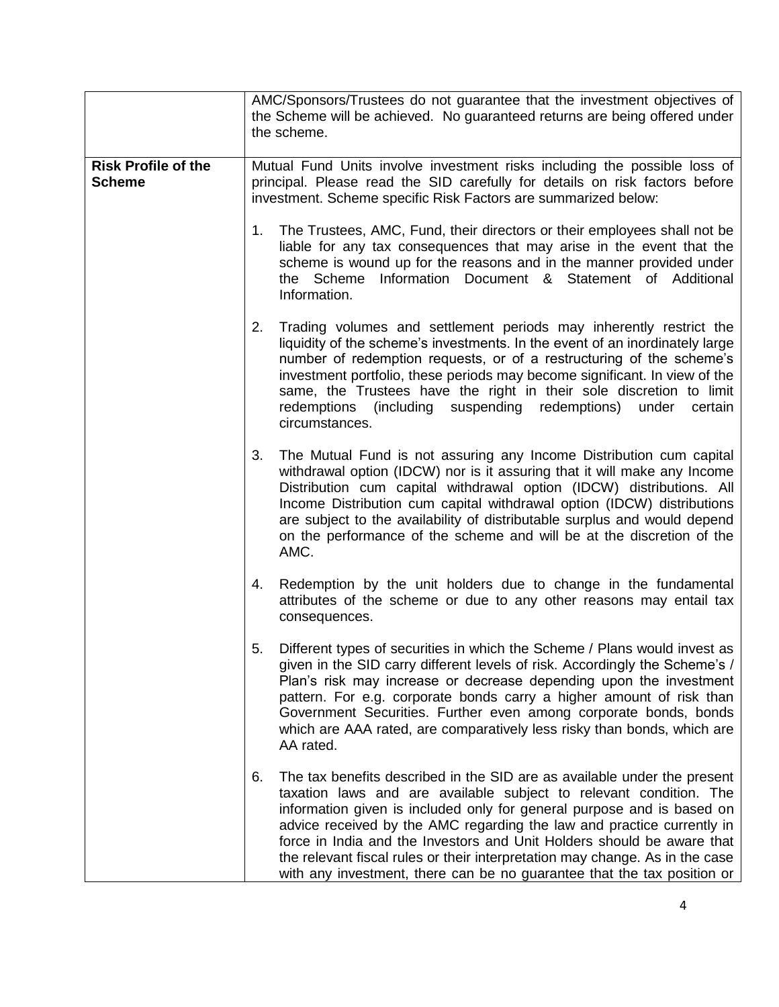|                                             | AMC/Sponsors/Trustees do not guarantee that the investment objectives of<br>the Scheme will be achieved. No guaranteed returns are being offered under<br>the scheme. |                                                                                                                                                                                                                                                                                                                                                                                                                                                                                                                                         |
|---------------------------------------------|-----------------------------------------------------------------------------------------------------------------------------------------------------------------------|-----------------------------------------------------------------------------------------------------------------------------------------------------------------------------------------------------------------------------------------------------------------------------------------------------------------------------------------------------------------------------------------------------------------------------------------------------------------------------------------------------------------------------------------|
| <b>Risk Profile of the</b><br><b>Scheme</b> | 1.                                                                                                                                                                    | Mutual Fund Units involve investment risks including the possible loss of<br>principal. Please read the SID carefully for details on risk factors before<br>investment. Scheme specific Risk Factors are summarized below:<br>The Trustees, AMC, Fund, their directors or their employees shall not be<br>liable for any tax consequences that may arise in the event that the                                                                                                                                                          |
|                                             |                                                                                                                                                                       | scheme is wound up for the reasons and in the manner provided under<br>Information Document & Statement of Additional<br>the Scheme<br>Information.                                                                                                                                                                                                                                                                                                                                                                                     |
|                                             | 2.                                                                                                                                                                    | Trading volumes and settlement periods may inherently restrict the<br>liquidity of the scheme's investments. In the event of an inordinately large<br>number of redemption requests, or of a restructuring of the scheme's<br>investment portfolio, these periods may become significant. In view of the<br>same, the Trustees have the right in their sole discretion to limit<br>redemptions (including suspending redemptions) under<br>certain<br>circumstances.                                                                    |
|                                             | 3.                                                                                                                                                                    | The Mutual Fund is not assuring any Income Distribution cum capital<br>withdrawal option (IDCW) nor is it assuring that it will make any Income<br>Distribution cum capital withdrawal option (IDCW) distributions. All<br>Income Distribution cum capital withdrawal option (IDCW) distributions<br>are subject to the availability of distributable surplus and would depend<br>on the performance of the scheme and will be at the discretion of the<br>AMC.                                                                         |
|                                             | 4.                                                                                                                                                                    | Redemption by the unit holders due to change in the fundamental<br>attributes of the scheme or due to any other reasons may entail tax<br>consequences.                                                                                                                                                                                                                                                                                                                                                                                 |
|                                             | 5.                                                                                                                                                                    | Different types of securities in which the Scheme / Plans would invest as<br>given in the SID carry different levels of risk. Accordingly the Scheme's /<br>Plan's risk may increase or decrease depending upon the investment<br>pattern. For e.g. corporate bonds carry a higher amount of risk than<br>Government Securities. Further even among corporate bonds, bonds<br>which are AAA rated, are comparatively less risky than bonds, which are<br>AA rated.                                                                      |
|                                             | 6.                                                                                                                                                                    | The tax benefits described in the SID are as available under the present<br>taxation laws and are available subject to relevant condition. The<br>information given is included only for general purpose and is based on<br>advice received by the AMC regarding the law and practice currently in<br>force in India and the Investors and Unit Holders should be aware that<br>the relevant fiscal rules or their interpretation may change. As in the case<br>with any investment, there can be no guarantee that the tax position or |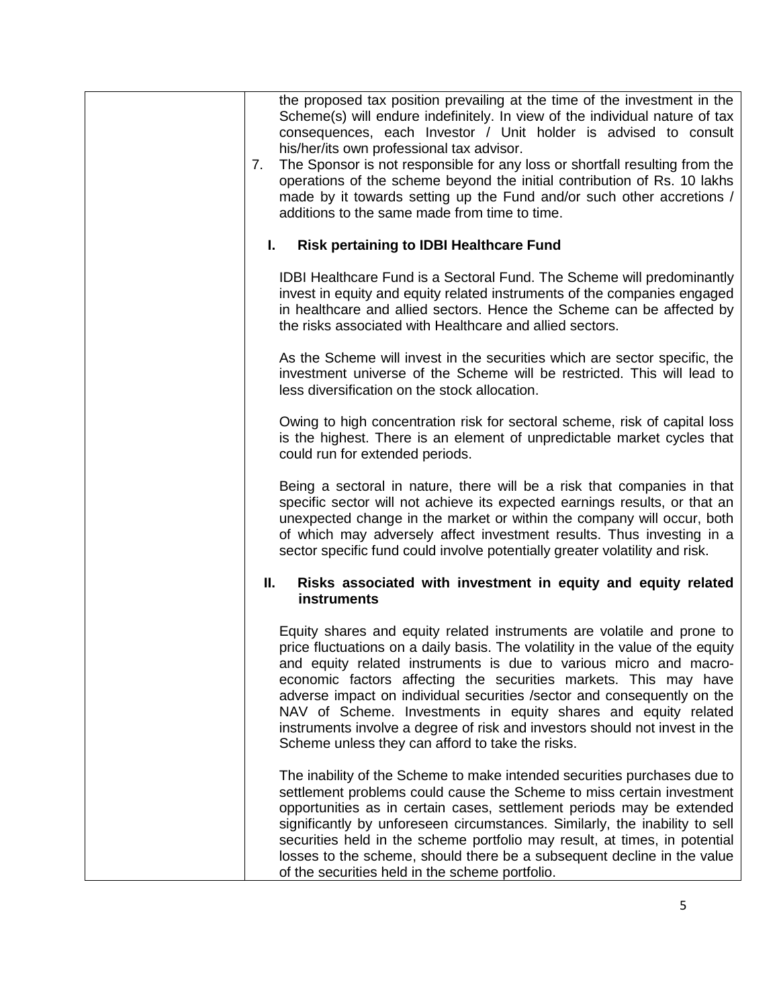| 7. | the proposed tax position prevailing at the time of the investment in the<br>Scheme(s) will endure indefinitely. In view of the individual nature of tax<br>consequences, each Investor / Unit holder is advised to consult<br>his/her/its own professional tax advisor.<br>The Sponsor is not responsible for any loss or shortfall resulting from the<br>operations of the scheme beyond the initial contribution of Rs. 10 lakhs<br>made by it towards setting up the Fund and/or such other accretions /<br>additions to the same made from time to time.                      |
|----|------------------------------------------------------------------------------------------------------------------------------------------------------------------------------------------------------------------------------------------------------------------------------------------------------------------------------------------------------------------------------------------------------------------------------------------------------------------------------------------------------------------------------------------------------------------------------------|
|    | <b>Risk pertaining to IDBI Healthcare Fund</b><br>L.                                                                                                                                                                                                                                                                                                                                                                                                                                                                                                                               |
|    | IDBI Healthcare Fund is a Sectoral Fund. The Scheme will predominantly<br>invest in equity and equity related instruments of the companies engaged<br>in healthcare and allied sectors. Hence the Scheme can be affected by<br>the risks associated with Healthcare and allied sectors.                                                                                                                                                                                                                                                                                            |
|    | As the Scheme will invest in the securities which are sector specific, the<br>investment universe of the Scheme will be restricted. This will lead to<br>less diversification on the stock allocation.                                                                                                                                                                                                                                                                                                                                                                             |
|    | Owing to high concentration risk for sectoral scheme, risk of capital loss<br>is the highest. There is an element of unpredictable market cycles that<br>could run for extended periods.                                                                                                                                                                                                                                                                                                                                                                                           |
|    | Being a sectoral in nature, there will be a risk that companies in that<br>specific sector will not achieve its expected earnings results, or that an<br>unexpected change in the market or within the company will occur, both<br>of which may adversely affect investment results. Thus investing in a<br>sector specific fund could involve potentially greater volatility and risk.                                                                                                                                                                                            |
|    | Ш.<br>Risks associated with investment in equity and equity related<br>instruments                                                                                                                                                                                                                                                                                                                                                                                                                                                                                                 |
|    | Equity shares and equity related instruments are volatile and prone to<br>price fluctuations on a daily basis. The volatility in the value of the equity<br>and equity related instruments is due to various micro and macro-<br>economic factors affecting the securities markets. This may have<br>adverse impact on individual securities / sector and consequently on the<br>NAV of Scheme. Investments in equity shares and equity related<br>instruments involve a degree of risk and investors should not invest in the<br>Scheme unless they can afford to take the risks. |
|    | The inability of the Scheme to make intended securities purchases due to<br>settlement problems could cause the Scheme to miss certain investment<br>opportunities as in certain cases, settlement periods may be extended<br>significantly by unforeseen circumstances. Similarly, the inability to sell<br>securities held in the scheme portfolio may result, at times, in potential<br>losses to the scheme, should there be a subsequent decline in the value<br>of the securities held in the scheme portfolio.                                                              |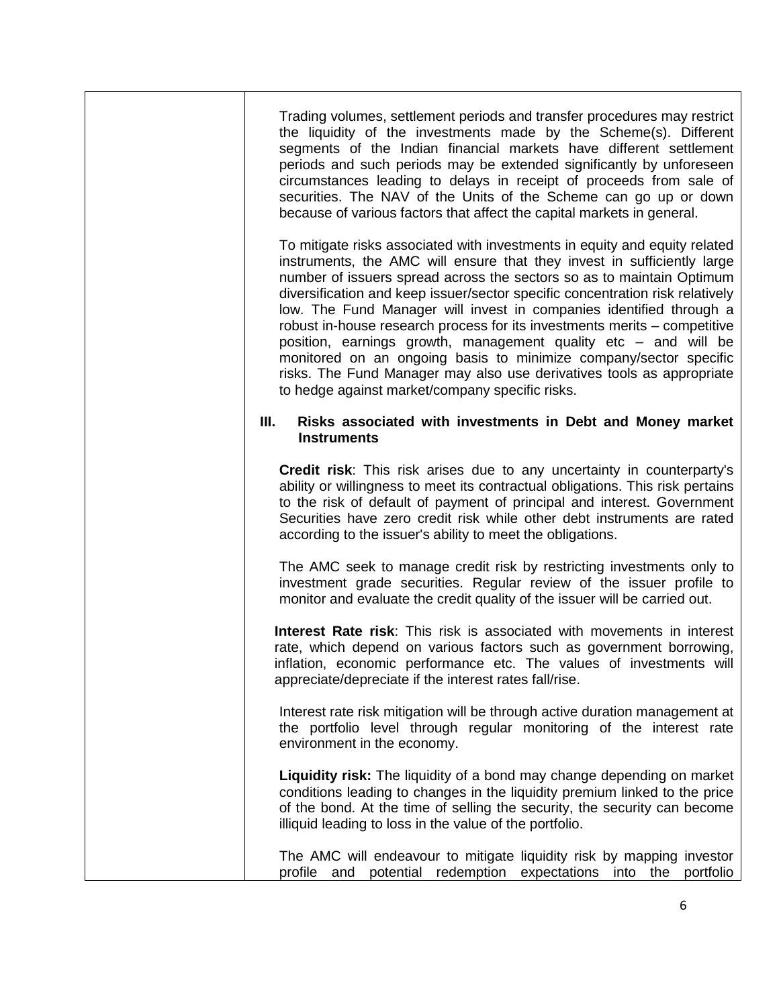Trading volumes, settlement periods and transfer procedures may restrict the liquidity of the investments made by the Scheme(s). Different segments of the Indian financial markets have different settlement periods and such periods may be extended significantly by unforeseen circumstances leading to delays in receipt of proceeds from sale of securities. The NAV of the Units of the Scheme can go up or down because of various factors that affect the capital markets in general.

To mitigate risks associated with investments in equity and equity related instruments, the AMC will ensure that they invest in sufficiently large number of issuers spread across the sectors so as to maintain Optimum diversification and keep issuer/sector specific concentration risk relatively low. The Fund Manager will invest in companies identified through a robust in-house research process for its investments merits – competitive position, earnings growth, management quality etc – and will be monitored on an ongoing basis to minimize company/sector specific risks. The Fund Manager may also use derivatives tools as appropriate to hedge against market/company specific risks.

## **III. Risks associated with investments in Debt and Money market Instruments**

**Credit risk**: This risk arises due to any uncertainty in counterparty's ability or willingness to meet its contractual obligations. This risk pertains to the risk of default of payment of principal and interest. Government Securities have zero credit risk while other debt instruments are rated according to the issuer's ability to meet the obligations.

The AMC seek to manage credit risk by restricting investments only to investment grade securities. Regular review of the issuer profile to monitor and evaluate the credit quality of the issuer will be carried out.

**Interest Rate risk**: This risk is associated with movements in interest rate, which depend on various factors such as government borrowing, inflation, economic performance etc. The values of investments will appreciate/depreciate if the interest rates fall/rise.

Interest rate risk mitigation will be through active duration management at the portfolio level through regular monitoring of the interest rate environment in the economy.

**Liquidity risk:** The liquidity of a bond may change depending on market conditions leading to changes in the liquidity premium linked to the price of the bond. At the time of selling the security, the security can become illiquid leading to loss in the value of the portfolio.

The AMC will endeavour to mitigate liquidity risk by mapping investor profile and potential redemption expectations into the portfolio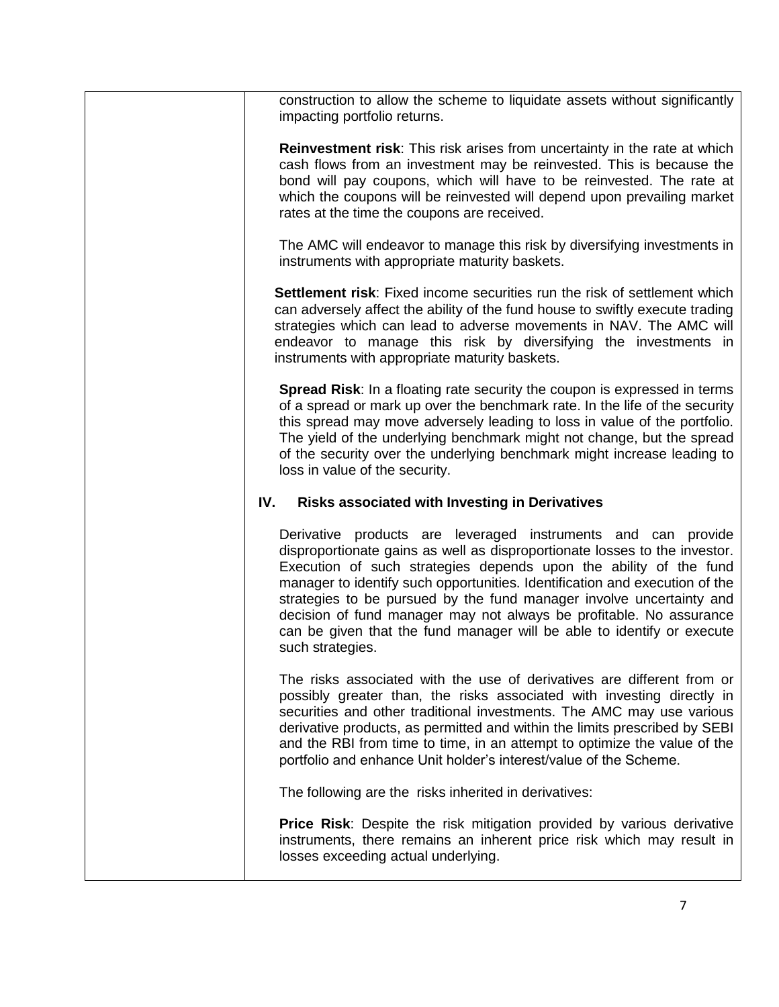| construction to allow the scheme to liquidate assets without significantly<br>impacting portfolio returns.                                                                                                                                                                                                                                                                                                                                                                                                                                   |
|----------------------------------------------------------------------------------------------------------------------------------------------------------------------------------------------------------------------------------------------------------------------------------------------------------------------------------------------------------------------------------------------------------------------------------------------------------------------------------------------------------------------------------------------|
| <b>Reinvestment risk:</b> This risk arises from uncertainty in the rate at which<br>cash flows from an investment may be reinvested. This is because the<br>bond will pay coupons, which will have to be reinvested. The rate at<br>which the coupons will be reinvested will depend upon prevailing market<br>rates at the time the coupons are received.                                                                                                                                                                                   |
| The AMC will endeavor to manage this risk by diversifying investments in<br>instruments with appropriate maturity baskets.                                                                                                                                                                                                                                                                                                                                                                                                                   |
| <b>Settlement risk:</b> Fixed income securities run the risk of settlement which<br>can adversely affect the ability of the fund house to swiftly execute trading<br>strategies which can lead to adverse movements in NAV. The AMC will<br>endeavor to manage this risk by diversifying the investments in<br>instruments with appropriate maturity baskets.                                                                                                                                                                                |
| <b>Spread Risk:</b> In a floating rate security the coupon is expressed in terms<br>of a spread or mark up over the benchmark rate. In the life of the security<br>this spread may move adversely leading to loss in value of the portfolio.<br>The yield of the underlying benchmark might not change, but the spread<br>of the security over the underlying benchmark might increase leading to<br>loss in value of the security.                                                                                                          |
| IV.<br>Risks associated with Investing in Derivatives                                                                                                                                                                                                                                                                                                                                                                                                                                                                                        |
| Derivative products are leveraged instruments and can provide<br>disproportionate gains as well as disproportionate losses to the investor.<br>Execution of such strategies depends upon the ability of the fund<br>manager to identify such opportunities. Identification and execution of the<br>strategies to be pursued by the fund manager involve uncertainty and<br>decision of fund manager may not always be profitable. No assurance<br>can be given that the fund manager will be able to identify or execute<br>such strategies. |
| The risks associated with the use of derivatives are different from or<br>possibly greater than, the risks associated with investing directly in<br>securities and other traditional investments. The AMC may use various<br>derivative products, as permitted and within the limits prescribed by SEBI<br>and the RBI from time to time, in an attempt to optimize the value of the<br>portfolio and enhance Unit holder's interest/value of the Scheme.                                                                                    |
| The following are the risks inherited in derivatives:                                                                                                                                                                                                                                                                                                                                                                                                                                                                                        |
| <b>Price Risk:</b> Despite the risk mitigation provided by various derivative<br>instruments, there remains an inherent price risk which may result in<br>losses exceeding actual underlying.                                                                                                                                                                                                                                                                                                                                                |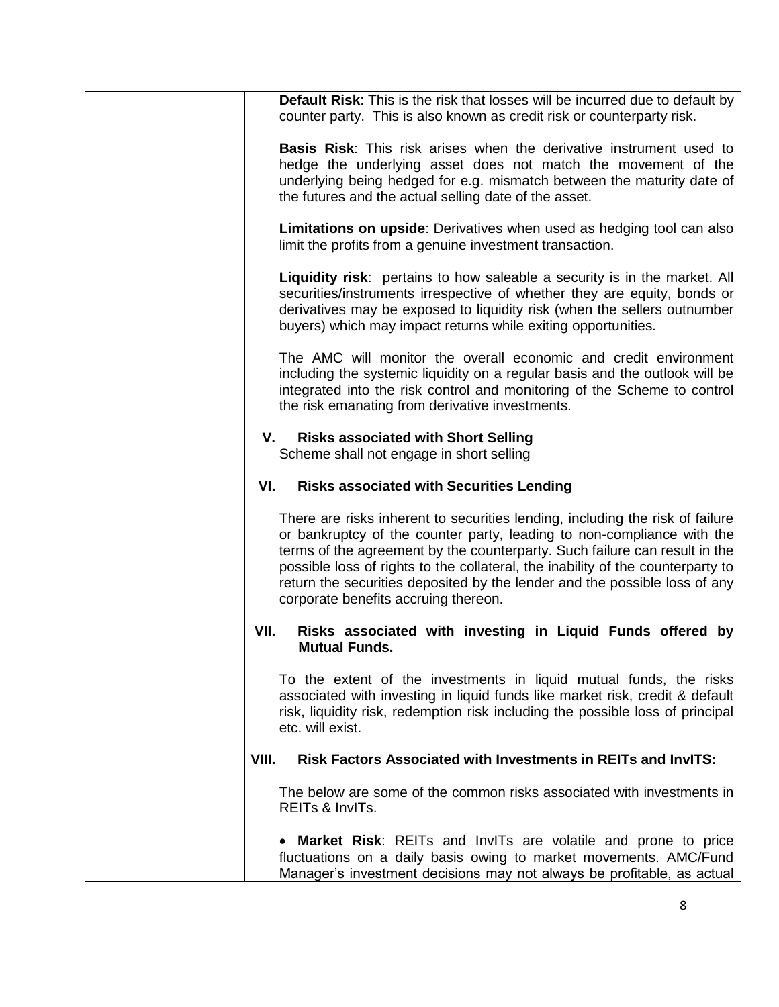| Default Risk: This is the risk that losses will be incurred due to default by<br>counter party. This is also known as credit risk or counterparty risk.                                                                                                                                                                                                                                                                                        |
|------------------------------------------------------------------------------------------------------------------------------------------------------------------------------------------------------------------------------------------------------------------------------------------------------------------------------------------------------------------------------------------------------------------------------------------------|
| <b>Basis Risk:</b> This risk arises when the derivative instrument used to<br>hedge the underlying asset does not match the movement of the<br>underlying being hedged for e.g. mismatch between the maturity date of<br>the futures and the actual selling date of the asset.                                                                                                                                                                 |
| Limitations on upside: Derivatives when used as hedging tool can also<br>limit the profits from a genuine investment transaction.                                                                                                                                                                                                                                                                                                              |
| <b>Liquidity risk</b> : pertains to how saleable a security is in the market. All<br>securities/instruments irrespective of whether they are equity, bonds or<br>derivatives may be exposed to liquidity risk (when the sellers outnumber<br>buyers) which may impact returns while exiting opportunities.                                                                                                                                     |
| The AMC will monitor the overall economic and credit environment<br>including the systemic liquidity on a regular basis and the outlook will be<br>integrated into the risk control and monitoring of the Scheme to control<br>the risk emanating from derivative investments.                                                                                                                                                                 |
| <b>Risks associated with Short Selling</b><br>V.<br>Scheme shall not engage in short selling                                                                                                                                                                                                                                                                                                                                                   |
| VI.<br><b>Risks associated with Securities Lending</b>                                                                                                                                                                                                                                                                                                                                                                                         |
| There are risks inherent to securities lending, including the risk of failure<br>or bankruptcy of the counter party, leading to non-compliance with the<br>terms of the agreement by the counterparty. Such failure can result in the<br>possible loss of rights to the collateral, the inability of the counterparty to<br>return the securities deposited by the lender and the possible loss of any<br>corporate benefits accruing thereon. |
| VII.<br>Risks associated with investing in Liquid Funds offered by<br><b>Mutual Funds.</b>                                                                                                                                                                                                                                                                                                                                                     |
| To the extent of the investments in liquid mutual funds, the risks<br>associated with investing in liquid funds like market risk, credit & default<br>risk, liquidity risk, redemption risk including the possible loss of principal<br>etc. will exist.                                                                                                                                                                                       |
| VIII.<br>Risk Factors Associated with Investments in REITs and InvITS:                                                                                                                                                                                                                                                                                                                                                                         |
| The below are some of the common risks associated with investments in<br>REITs & InvITs.                                                                                                                                                                                                                                                                                                                                                       |
| <b>Market Risk:</b> REITs and InvITs are volatile and prone to price<br>fluctuations on a daily basis owing to market movements. AMC/Fund<br>Manager's investment decisions may not always be profitable, as actual                                                                                                                                                                                                                            |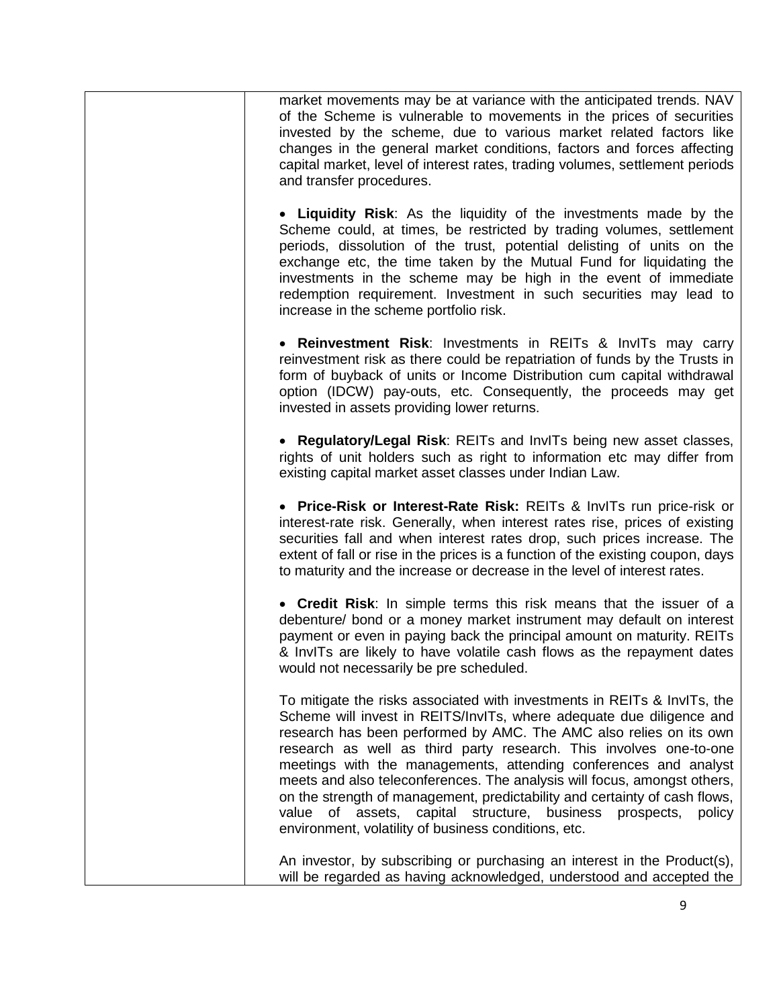| market movements may be at variance with the anticipated trends. NAV<br>of the Scheme is vulnerable to movements in the prices of securities<br>invested by the scheme, due to various market related factors like<br>changes in the general market conditions, factors and forces affecting<br>capital market, level of interest rates, trading volumes, settlement periods<br>and transfer procedures.                                                                                                                                                                                                                                                   |
|------------------------------------------------------------------------------------------------------------------------------------------------------------------------------------------------------------------------------------------------------------------------------------------------------------------------------------------------------------------------------------------------------------------------------------------------------------------------------------------------------------------------------------------------------------------------------------------------------------------------------------------------------------|
| • Liquidity Risk: As the liquidity of the investments made by the<br>Scheme could, at times, be restricted by trading volumes, settlement<br>periods, dissolution of the trust, potential delisting of units on the<br>exchange etc, the time taken by the Mutual Fund for liquidating the<br>investments in the scheme may be high in the event of immediate<br>redemption requirement. Investment in such securities may lead to<br>increase in the scheme portfolio risk.                                                                                                                                                                               |
| • Reinvestment Risk: Investments in REITs & InvITs may carry<br>reinvestment risk as there could be repatriation of funds by the Trusts in<br>form of buyback of units or Income Distribution cum capital withdrawal<br>option (IDCW) pay-outs, etc. Consequently, the proceeds may get<br>invested in assets providing lower returns.                                                                                                                                                                                                                                                                                                                     |
| • Regulatory/Legal Risk: REITs and InvITs being new asset classes,<br>rights of unit holders such as right to information etc may differ from<br>existing capital market asset classes under Indian Law.                                                                                                                                                                                                                                                                                                                                                                                                                                                   |
| • Price-Risk or Interest-Rate Risk: REITs & InvITs run price-risk or<br>interest-rate risk. Generally, when interest rates rise, prices of existing<br>securities fall and when interest rates drop, such prices increase. The<br>extent of fall or rise in the prices is a function of the existing coupon, days<br>to maturity and the increase or decrease in the level of interest rates.                                                                                                                                                                                                                                                              |
| • Credit Risk: In simple terms this risk means that the issuer of a<br>debenture/ bond or a money market instrument may default on interest<br>payment or even in paying back the principal amount on maturity. REITs<br>& InvITs are likely to have volatile cash flows as the repayment dates<br>would not necessarily be pre scheduled.                                                                                                                                                                                                                                                                                                                 |
| To mitigate the risks associated with investments in REITs & InvITs, the<br>Scheme will invest in REITS/InvITs, where adequate due diligence and<br>research has been performed by AMC. The AMC also relies on its own<br>research as well as third party research. This involves one-to-one<br>meetings with the managements, attending conferences and analyst<br>meets and also teleconferences. The analysis will focus, amongst others,<br>on the strength of management, predictability and certainty of cash flows,<br>of assets, capital structure, business prospects,<br>value<br>policy<br>environment, volatility of business conditions, etc. |
| An investor, by subscribing or purchasing an interest in the Product(s),<br>will be regarded as having acknowledged, understood and accepted the                                                                                                                                                                                                                                                                                                                                                                                                                                                                                                           |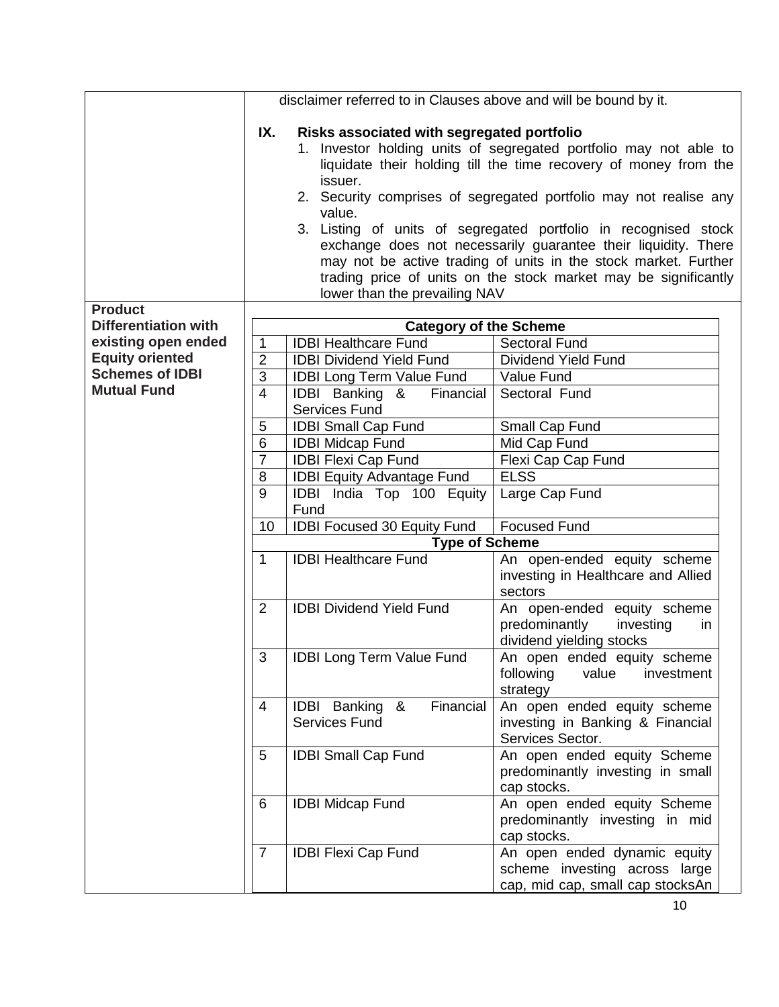|                                               |                     | disclaimer referred to in Clauses above and will be bound by it.                                 |                                                                                                                                                                                                                                                                                                                                                                                                                                                                                       |
|-----------------------------------------------|---------------------|--------------------------------------------------------------------------------------------------|---------------------------------------------------------------------------------------------------------------------------------------------------------------------------------------------------------------------------------------------------------------------------------------------------------------------------------------------------------------------------------------------------------------------------------------------------------------------------------------|
|                                               | IX.                 | Risks associated with segregated portfolio<br>issuer.<br>value.<br>lower than the prevailing NAV | 1. Investor holding units of segregated portfolio may not able to<br>liquidate their holding till the time recovery of money from the<br>2. Security comprises of segregated portfolio may not realise any<br>3. Listing of units of segregated portfolio in recognised stock<br>exchange does not necessarily guarantee their liquidity. There<br>may not be active trading of units in the stock market. Further<br>trading price of units on the stock market may be significantly |
| <b>Product</b><br><b>Differentiation with</b> |                     |                                                                                                  |                                                                                                                                                                                                                                                                                                                                                                                                                                                                                       |
| existing open ended                           |                     | <b>Category of the Scheme</b>                                                                    |                                                                                                                                                                                                                                                                                                                                                                                                                                                                                       |
| <b>Equity oriented</b>                        | 1<br>$\overline{2}$ | <b>IDBI Healthcare Fund</b><br><b>IDBI Dividend Yield Fund</b>                                   | <b>Sectoral Fund</b><br>Dividend Yield Fund                                                                                                                                                                                                                                                                                                                                                                                                                                           |
| <b>Schemes of IDBI</b>                        | 3                   | <b>IDBI Long Term Value Fund</b>                                                                 | Value Fund                                                                                                                                                                                                                                                                                                                                                                                                                                                                            |
| <b>Mutual Fund</b>                            | $\overline{4}$      | IDBI Banking &<br>Financial                                                                      | Sectoral Fund                                                                                                                                                                                                                                                                                                                                                                                                                                                                         |
|                                               |                     | <b>Services Fund</b>                                                                             |                                                                                                                                                                                                                                                                                                                                                                                                                                                                                       |
|                                               | 5                   | <b>IDBI Small Cap Fund</b>                                                                       | Small Cap Fund                                                                                                                                                                                                                                                                                                                                                                                                                                                                        |
|                                               | 6                   | <b>IDBI Midcap Fund</b>                                                                          | Mid Cap Fund                                                                                                                                                                                                                                                                                                                                                                                                                                                                          |
|                                               | $\overline{7}$      | <b>IDBI Flexi Cap Fund</b>                                                                       | Flexi Cap Cap Fund                                                                                                                                                                                                                                                                                                                                                                                                                                                                    |
|                                               | 8                   | <b>IDBI Equity Advantage Fund</b>                                                                | <b>ELSS</b>                                                                                                                                                                                                                                                                                                                                                                                                                                                                           |
|                                               | 9                   | IDBI India Top 100 Equity                                                                        | Large Cap Fund                                                                                                                                                                                                                                                                                                                                                                                                                                                                        |
|                                               |                     | Fund                                                                                             |                                                                                                                                                                                                                                                                                                                                                                                                                                                                                       |
|                                               | 10                  | <b>IDBI Focused 30 Equity Fund</b>                                                               | <b>Focused Fund</b>                                                                                                                                                                                                                                                                                                                                                                                                                                                                   |
|                                               |                     | <b>Type of Scheme</b>                                                                            |                                                                                                                                                                                                                                                                                                                                                                                                                                                                                       |
|                                               | $\mathbf{1}$        | <b>IDBI Healthcare Fund</b>                                                                      | An open-ended equity scheme                                                                                                                                                                                                                                                                                                                                                                                                                                                           |
|                                               |                     |                                                                                                  | investing in Healthcare and Allied                                                                                                                                                                                                                                                                                                                                                                                                                                                    |
|                                               |                     |                                                                                                  | sectors                                                                                                                                                                                                                                                                                                                                                                                                                                                                               |
|                                               | $\overline{2}$      | <b>IDBI Dividend Yield Fund</b>                                                                  | An open-ended equity scheme                                                                                                                                                                                                                                                                                                                                                                                                                                                           |
|                                               |                     |                                                                                                  | predominantly<br>investing<br>in                                                                                                                                                                                                                                                                                                                                                                                                                                                      |
|                                               |                     |                                                                                                  | dividend yielding stocks                                                                                                                                                                                                                                                                                                                                                                                                                                                              |
|                                               | 3                   | <b>IDBI Long Term Value Fund</b>                                                                 | An open ended equity scheme                                                                                                                                                                                                                                                                                                                                                                                                                                                           |
|                                               |                     |                                                                                                  | following<br>value<br>investment                                                                                                                                                                                                                                                                                                                                                                                                                                                      |
|                                               |                     |                                                                                                  | strategy                                                                                                                                                                                                                                                                                                                                                                                                                                                                              |
|                                               | $\overline{4}$      | IDBI Banking &<br>Financial                                                                      | An open ended equity scheme                                                                                                                                                                                                                                                                                                                                                                                                                                                           |
|                                               |                     | <b>Services Fund</b>                                                                             | investing in Banking & Financial                                                                                                                                                                                                                                                                                                                                                                                                                                                      |
|                                               |                     |                                                                                                  | Services Sector.                                                                                                                                                                                                                                                                                                                                                                                                                                                                      |
|                                               | 5                   | <b>IDBI Small Cap Fund</b>                                                                       | An open ended equity Scheme                                                                                                                                                                                                                                                                                                                                                                                                                                                           |
|                                               |                     |                                                                                                  | predominantly investing in small                                                                                                                                                                                                                                                                                                                                                                                                                                                      |
|                                               |                     |                                                                                                  | cap stocks.                                                                                                                                                                                                                                                                                                                                                                                                                                                                           |
|                                               | 6                   | <b>IDBI Midcap Fund</b>                                                                          | An open ended equity Scheme                                                                                                                                                                                                                                                                                                                                                                                                                                                           |
|                                               |                     |                                                                                                  | predominantly investing in mid                                                                                                                                                                                                                                                                                                                                                                                                                                                        |
|                                               |                     |                                                                                                  | cap stocks.                                                                                                                                                                                                                                                                                                                                                                                                                                                                           |
|                                               | $\overline{7}$      | <b>IDBI Flexi Cap Fund</b>                                                                       | An open ended dynamic equity                                                                                                                                                                                                                                                                                                                                                                                                                                                          |
|                                               |                     |                                                                                                  | scheme investing across large                                                                                                                                                                                                                                                                                                                                                                                                                                                         |
|                                               |                     |                                                                                                  | cap, mid cap, small cap stocksAn                                                                                                                                                                                                                                                                                                                                                                                                                                                      |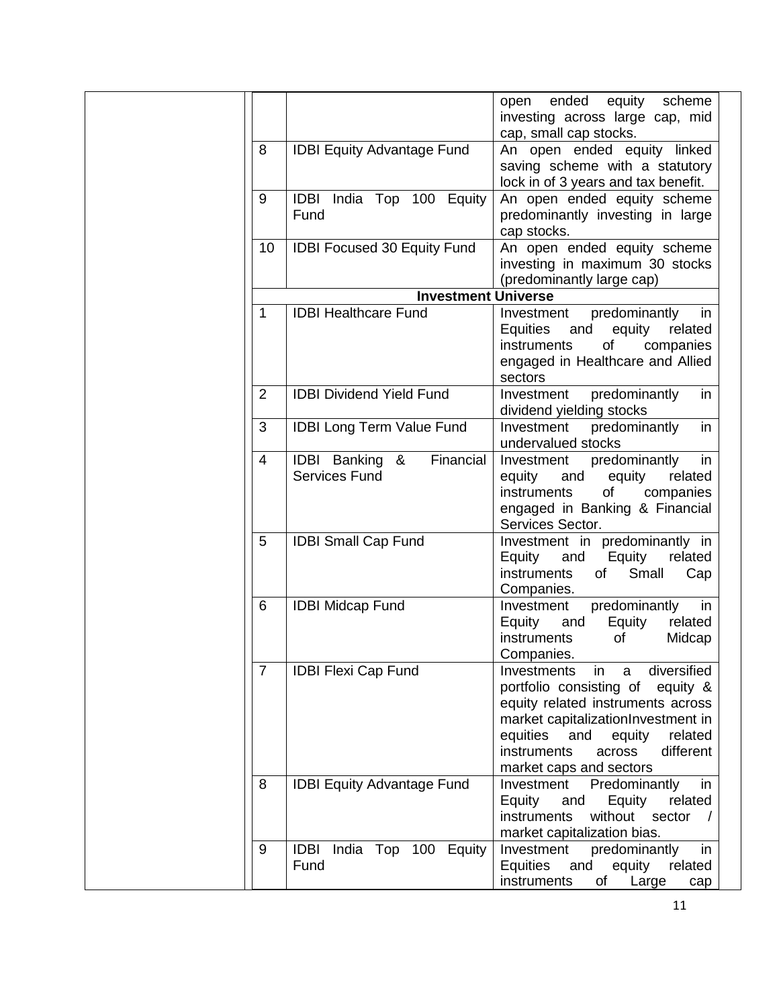|                |                                     | ended<br>equity scheme<br>open                                            |
|----------------|-------------------------------------|---------------------------------------------------------------------------|
|                |                                     | investing across large cap, mid<br>cap, small cap stocks.                 |
| 8              | <b>IDBI Equity Advantage Fund</b>   | An open ended equity linked                                               |
|                |                                     | saving scheme with a statutory                                            |
|                |                                     | lock in of 3 years and tax benefit.                                       |
| 9              | India Top 100 Equity<br><b>IDBI</b> | An open ended equity scheme                                               |
|                | Fund                                | predominantly investing in large                                          |
|                |                                     | cap stocks.                                                               |
| 10             | <b>IDBI Focused 30 Equity Fund</b>  | An open ended equity scheme                                               |
|                |                                     | investing in maximum 30 stocks                                            |
|                |                                     | (predominantly large cap)                                                 |
|                | <b>Investment Universe</b>          |                                                                           |
| 1              | <b>IDBI Healthcare Fund</b>         | predominantly<br>Investment<br>in                                         |
|                |                                     | Equities and<br>equity<br>related                                         |
|                |                                     | of<br>instruments<br>companies                                            |
|                |                                     | engaged in Healthcare and Allied                                          |
| $\overline{2}$ | <b>IDBI Dividend Yield Fund</b>     | sectors<br>Investment<br>predominantly                                    |
|                |                                     | in<br>dividend yielding stocks                                            |
| 3              | <b>IDBI Long Term Value Fund</b>    | Investment<br>predominantly<br>in                                         |
|                |                                     | undervalued stocks                                                        |
| 4              | <b>IDBI</b> Banking &<br>Financial  | predominantly<br>Investment<br>in                                         |
|                | <b>Services Fund</b>                | equity and<br>equity<br>related                                           |
|                |                                     | instruments<br>of<br>companies                                            |
|                |                                     | engaged in Banking & Financial                                            |
|                |                                     | Services Sector.                                                          |
| 5              | <b>IDBI Small Cap Fund</b>          | Investment in predominantly in                                            |
|                |                                     | Equity<br>Equity<br>related<br>and                                        |
|                |                                     | Small<br><i>instruments</i><br>of<br>Cap                                  |
| 6              | <b>IDBI Midcap Fund</b>             | Companies.<br>predominantly<br>in<br>Investment                           |
|                |                                     | related<br>Equity<br>Equity<br>and                                        |
|                |                                     | instruments<br>Midcap<br>οf                                               |
|                |                                     | Companies.                                                                |
| $\overline{7}$ | <b>IDBI Flexi Cap Fund</b>          | diversified<br>Investments<br>in<br>a                                     |
|                |                                     | portfolio consisting of<br>equity &                                       |
|                |                                     | equity related instruments across                                         |
|                |                                     | market capitalizationInvestment in                                        |
|                |                                     | equities<br>and<br>equity<br>related                                      |
|                |                                     | instruments<br>different<br>across                                        |
|                |                                     | market caps and sectors                                                   |
| 8              | <b>IDBI Equity Advantage Fund</b>   | Predominantly<br>Investment<br>in                                         |
|                |                                     | Equity<br>Equity<br>related<br>and                                        |
|                |                                     | without sector<br>instruments                                             |
| 9              | <b>IDBI</b>                         | market capitalization bias.                                               |
|                | India Top 100 Equity<br>Fund        | Investment<br>predominantly<br>in<br>Equities<br>and<br>equity<br>related |
|                |                                     | instruments<br>Large<br>Οf<br>cap                                         |
|                |                                     |                                                                           |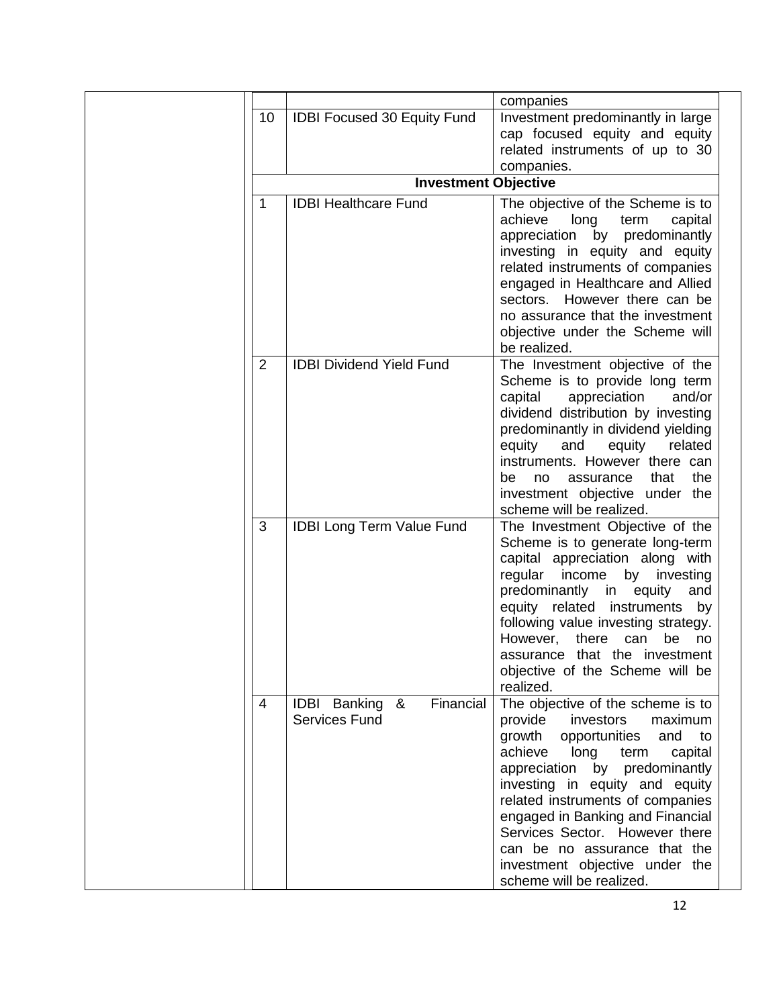|                |                                    | companies                                                      |
|----------------|------------------------------------|----------------------------------------------------------------|
| 10             | <b>IDBI Focused 30 Equity Fund</b> | Investment predominantly in large                              |
|                |                                    | cap focused equity and equity                                  |
|                |                                    | related instruments of up to 30                                |
|                |                                    | companies.                                                     |
|                | <b>Investment Objective</b>        |                                                                |
| 1              | <b>IDBI Healthcare Fund</b>        | The objective of the Scheme is to                              |
|                |                                    | achieve<br>long<br>term<br>capital                             |
|                |                                    | appreciation<br>by predominantly                               |
|                |                                    | investing in equity and equity                                 |
|                |                                    | related instruments of companies                               |
|                |                                    | engaged in Healthcare and Allied                               |
|                |                                    | sectors. However there can be                                  |
|                |                                    | no assurance that the investment                               |
|                |                                    | objective under the Scheme will                                |
|                |                                    | be realized.                                                   |
| $\overline{2}$ | <b>IDBI Dividend Yield Fund</b>    | The Investment objective of the                                |
|                |                                    | Scheme is to provide long term                                 |
|                |                                    | appreciation<br>capital<br>and/or                              |
|                |                                    | dividend distribution by investing                             |
|                |                                    | predominantly in dividend yielding                             |
|                |                                    | related<br>equity<br>equity<br>and                             |
|                |                                    | instruments. However there can                                 |
|                |                                    | the<br>be<br>assurance<br>that<br>no                           |
|                |                                    | investment objective under the                                 |
|                |                                    | scheme will be realized.                                       |
| 3              | <b>IDBI Long Term Value Fund</b>   | The Investment Objective of the                                |
|                |                                    | Scheme is to generate long-term                                |
|                |                                    | capital appreciation along with<br>regular income by investing |
|                |                                    | predominantly in<br>and                                        |
|                |                                    | equity<br>equity related instruments<br>by                     |
|                |                                    | following value investing strategy.                            |
|                |                                    | However,<br>there<br>can<br>be<br>no                           |
|                |                                    | assurance that the investment                                  |
|                |                                    | objective of the Scheme will be                                |
|                |                                    | realized.                                                      |
| $\overline{4}$ | Financial<br>IDBI Banking &        | The objective of the scheme is to                              |
|                | <b>Services Fund</b>               | provide<br>investors<br>maximum                                |
|                |                                    | growth<br>opportunities<br>and<br>to                           |
|                |                                    | achieve<br>long<br>capital<br>term                             |
|                |                                    | appreciation by predominantly                                  |
|                |                                    | investing in equity and equity                                 |
|                |                                    | related instruments of companies                               |
|                |                                    | engaged in Banking and Financial                               |
|                |                                    |                                                                |
|                |                                    |                                                                |
|                |                                    | Services Sector. However there                                 |
|                |                                    | can be no assurance that the<br>investment objective under the |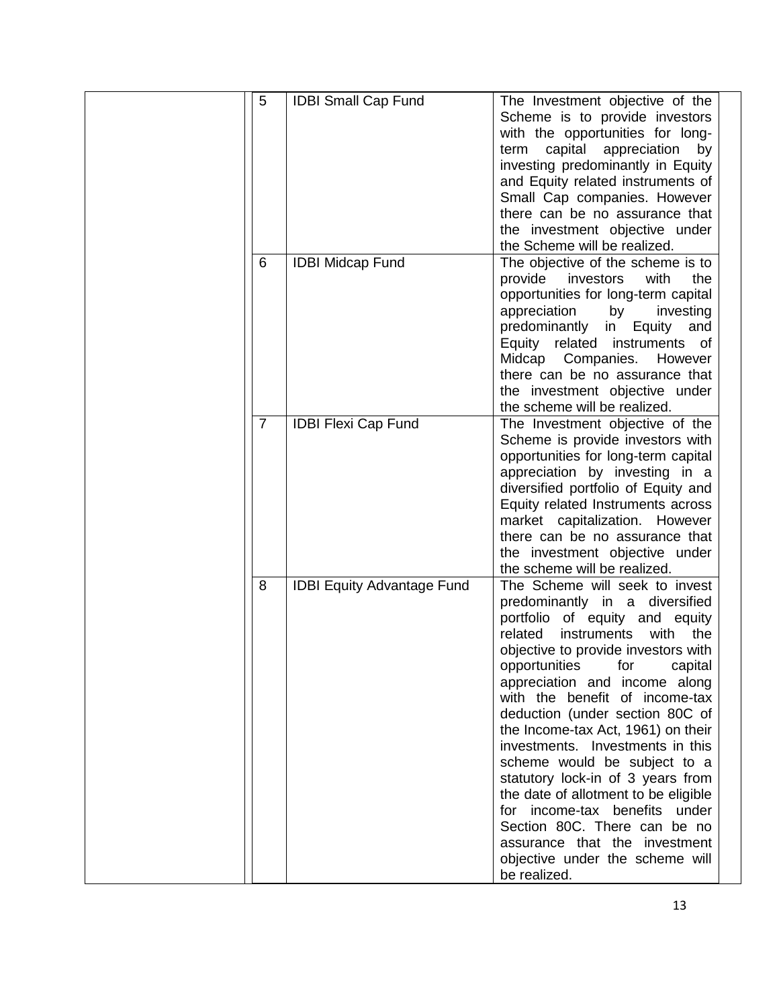| 5              | <b>IDBI Small Cap Fund</b>        | The Investment objective of the                                     |
|----------------|-----------------------------------|---------------------------------------------------------------------|
|                |                                   | Scheme is to provide investors                                      |
|                |                                   | with the opportunities for long-                                    |
|                |                                   | capital<br>appreciation<br>term<br>by                               |
|                |                                   | investing predominantly in Equity                                   |
|                |                                   | and Equity related instruments of                                   |
|                |                                   | Small Cap companies. However                                        |
|                |                                   | there can be no assurance that                                      |
|                |                                   | the investment objective under                                      |
|                |                                   | the Scheme will be realized.                                        |
| 6              | <b>IDBI Midcap Fund</b>           | The objective of the scheme is to                                   |
|                |                                   | provide<br>investors<br>with<br>the                                 |
|                |                                   | opportunities for long-term capital                                 |
|                |                                   | appreciation<br>by<br>investing                                     |
|                |                                   | Equity<br>predominantly<br>in<br>and                                |
|                |                                   | Equity related instruments of                                       |
|                |                                   | Companies.<br>Midcap<br>However                                     |
|                |                                   | there can be no assurance that                                      |
|                |                                   | the investment objective under                                      |
|                |                                   | the scheme will be realized.                                        |
| $\overline{7}$ | <b>IDBI Flexi Cap Fund</b>        | The Investment objective of the                                     |
|                |                                   | Scheme is provide investors with                                    |
|                |                                   | opportunities for long-term capital                                 |
|                |                                   | appreciation by investing in a                                      |
|                |                                   | diversified portfolio of Equity and                                 |
|                |                                   |                                                                     |
|                |                                   | Equity related Instruments across<br>market capitalization. However |
|                |                                   |                                                                     |
|                |                                   | there can be no assurance that                                      |
|                |                                   | the investment objective under                                      |
|                |                                   | the scheme will be realized.                                        |
| 8              | <b>IDBI Equity Advantage Fund</b> | The Scheme will seek to invest                                      |
|                |                                   | predominantly in a diversified                                      |
|                |                                   | portfolio of equity and equity                                      |
|                |                                   | related<br><i>instruments</i><br>with<br>the                        |
|                |                                   | objective to provide investors with                                 |
|                |                                   | opportunities<br>for<br>capital                                     |
|                |                                   | appreciation and income along                                       |
|                |                                   | with the benefit of income-tax                                      |
|                |                                   | deduction (under section 80C of                                     |
|                |                                   | the Income-tax Act, 1961) on their                                  |
|                |                                   | investments. Investments in this                                    |
|                |                                   | scheme would be subject to a                                        |
|                |                                   | statutory lock-in of 3 years from                                   |
|                |                                   | the date of allotment to be eligible                                |
|                |                                   | for income-tax benefits under                                       |
|                |                                   | Section 80C. There can be no                                        |
|                |                                   | assurance that the investment                                       |
|                |                                   | objective under the scheme will                                     |
|                |                                   | be realized.                                                        |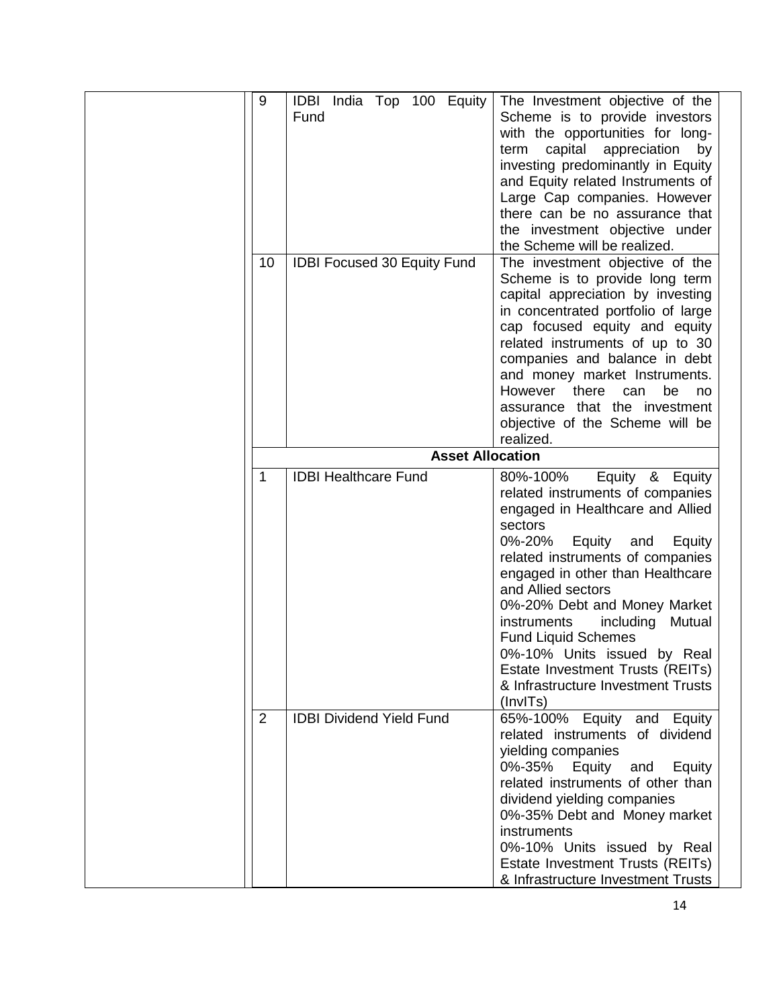| 9      | IDBI India Top 100 Equity<br>Fund                              | The Investment objective of the<br>Scheme is to provide investors<br>with the opportunities for long-<br>capital<br>appreciation<br>term<br>by<br>investing predominantly in Equity<br>and Equity related Instruments of<br>Large Cap companies. However<br>there can be no assurance that<br>the investment objective under<br>the Scheme will be realized.                                                                                                                                                       |
|--------|----------------------------------------------------------------|--------------------------------------------------------------------------------------------------------------------------------------------------------------------------------------------------------------------------------------------------------------------------------------------------------------------------------------------------------------------------------------------------------------------------------------------------------------------------------------------------------------------|
| 10     | <b>IDBI Focused 30 Equity Fund</b>                             | The investment objective of the<br>Scheme is to provide long term<br>capital appreciation by investing<br>in concentrated portfolio of large<br>cap focused equity and equity<br>related instruments of up to 30<br>companies and balance in debt<br>and money market Instruments.<br>However<br>there<br>can<br>be<br>no<br>assurance that the investment<br>objective of the Scheme will be<br>realized.                                                                                                         |
|        | <b>Asset Allocation</b>                                        |                                                                                                                                                                                                                                                                                                                                                                                                                                                                                                                    |
| 1<br>2 | <b>IDBI Healthcare Fund</b><br><b>IDBI Dividend Yield Fund</b> | 80%-100%<br>Equity &<br>Equity<br>related instruments of companies<br>engaged in Healthcare and Allied<br>sectors<br>0%-20%<br>Equity<br>and<br>Equity<br>related instruments of companies<br>engaged in other than Healthcare<br>and Allied sectors<br>0%-20% Debt and Money Market<br><i>instruments</i><br>including<br>Mutual<br><b>Fund Liquid Schemes</b><br>0%-10% Units issued by Real<br>Estate Investment Trusts (REITs)<br>& Infrastructure Investment Trusts<br>(InvITs)<br>65%-100% Equity and Equity |
|        |                                                                | related instruments of dividend<br>yielding companies<br>0%-35%<br>Equity<br>Equity<br>and<br>related instruments of other than<br>dividend yielding companies<br>0%-35% Debt and Money market<br>instruments<br>0%-10% Units issued by Real<br>Estate Investment Trusts (REITs)<br>& Infrastructure Investment Trusts                                                                                                                                                                                             |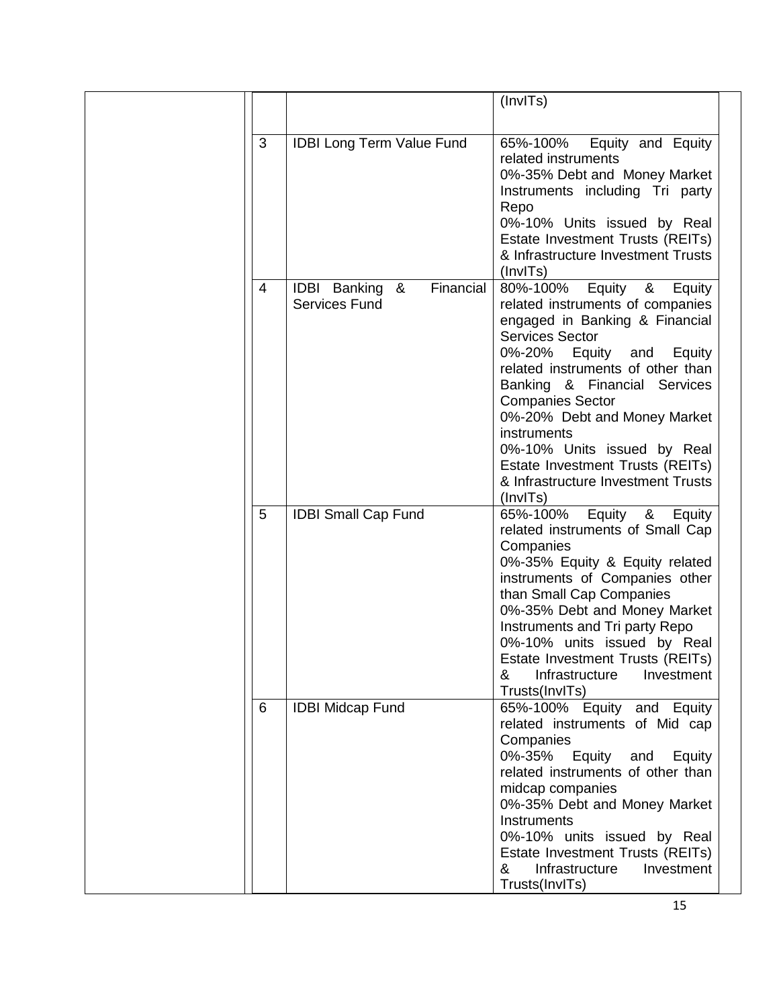|   |                                                               | (InvITs)                                                                                                                                                                                                                                                                                                                                                                                                                             |
|---|---------------------------------------------------------------|--------------------------------------------------------------------------------------------------------------------------------------------------------------------------------------------------------------------------------------------------------------------------------------------------------------------------------------------------------------------------------------------------------------------------------------|
| 3 | <b>IDBI Long Term Value Fund</b>                              | Equity and Equity<br>65%-100%<br>related instruments<br>0%-35% Debt and Money Market<br>Instruments including Tri party<br>Repo<br>0%-10% Units issued by Real<br>Estate Investment Trusts (REITs)<br>& Infrastructure Investment Trusts<br>(InvITs)                                                                                                                                                                                 |
| 4 | Financial<br><b>IDBI</b> Banking<br>&<br><b>Services Fund</b> | Equity<br>80%-100%<br>&<br>Equity<br>related instruments of companies<br>engaged in Banking & Financial<br><b>Services Sector</b><br>0%-20% Equity and<br>Equity<br>related instruments of other than<br>Banking & Financial Services<br><b>Companies Sector</b><br>0%-20% Debt and Money Market<br>instruments<br>0%-10% Units issued by Real<br>Estate Investment Trusts (REITs)<br>& Infrastructure Investment Trusts<br>(InvITs) |
| 5 | <b>IDBI Small Cap Fund</b>                                    | 65%-100% Equity &<br>Equity<br>related instruments of Small Cap<br>Companies<br>0%-35% Equity & Equity related<br>instruments of Companies other<br>than Small Cap Companies<br>0%-35% Debt and Money Market<br>Instruments and Tri party Repo<br>0%-10% units issued by Real<br>Estate Investment Trusts (REITs)<br>Infrastructure<br>Investment<br>&<br>Trusts(InvITs)                                                             |
| 6 | <b>IDBI Midcap Fund</b>                                       | 65%-100% Equity<br>and Equity<br>related instruments of Mid cap<br>Companies<br>0%-35%<br>Equity<br>and<br>Equity<br>related instruments of other than<br>midcap companies<br>0%-35% Debt and Money Market<br>Instruments<br>0%-10% units issued by Real<br>Estate Investment Trusts (REITs)<br>Infrastructure<br>Investment<br>&<br>Trusts(InvITs)                                                                                  |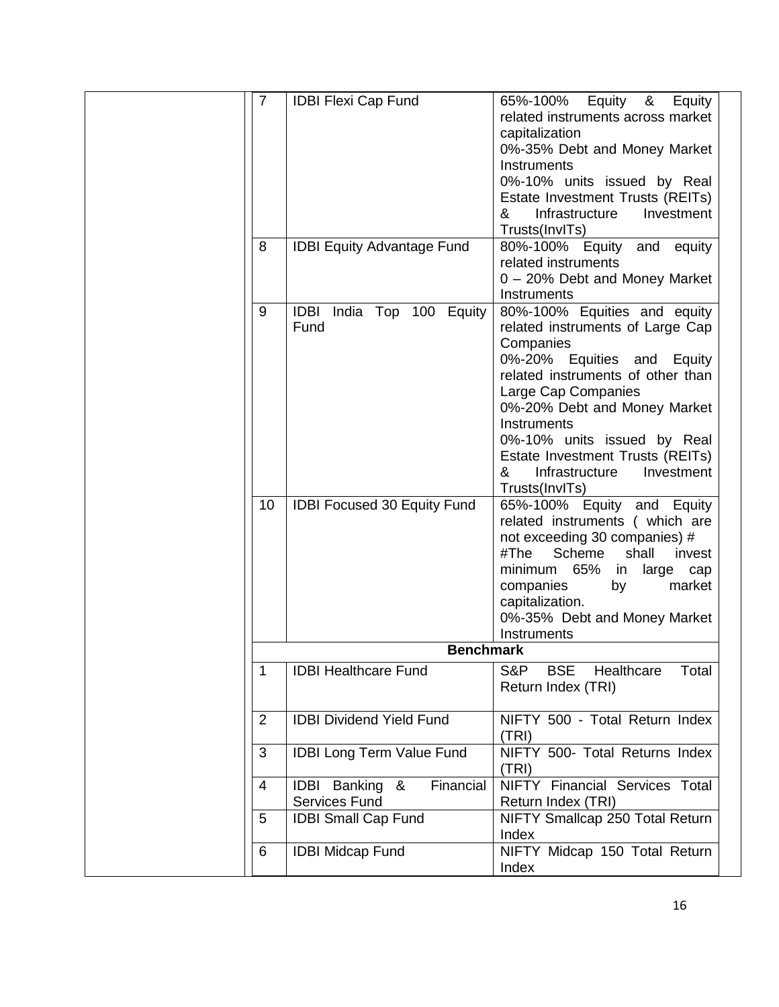| $\overline{7}$ | <b>IDBI Flexi Cap Fund</b>            | 65%-100%                                 |
|----------------|---------------------------------------|------------------------------------------|
|                |                                       | Equity &<br>Equity                       |
|                |                                       | related instruments across market        |
|                |                                       | capitalization                           |
|                |                                       | 0%-35% Debt and Money Market             |
|                |                                       | Instruments                              |
|                |                                       | 0%-10% units issued by Real              |
|                |                                       | Estate Investment Trusts (REITs)         |
|                |                                       | Infrastructure<br>Investment<br>&        |
|                |                                       | Trusts(InvITs)                           |
| 8              | <b>IDBI Equity Advantage Fund</b>     | 80%-100% Equity and equity               |
|                |                                       | related instruments                      |
|                |                                       | 0 - 20% Debt and Money Market            |
|                |                                       | Instruments                              |
|                |                                       |                                          |
| 9              | India Top 100 Equity<br>IDBI          | 80%-100% Equities and equity             |
|                | Fund                                  | related instruments of Large Cap         |
|                |                                       | Companies                                |
|                |                                       | 0%-20% Equities and<br>Equity            |
|                |                                       | related instruments of other than        |
|                |                                       | Large Cap Companies                      |
|                |                                       | 0%-20% Debt and Money Market             |
|                |                                       | Instruments                              |
|                |                                       | 0%-10% units issued by Real              |
|                |                                       | Estate Investment Trusts (REITs)         |
|                |                                       | &<br>Infrastructure<br>Investment        |
|                |                                       | Trusts(InvITs)                           |
| 10             | <b>IDBI Focused 30 Equity Fund</b>    | 65%-100% Equity and Equity               |
|                |                                       | related instruments ( which are          |
|                |                                       | not exceeding 30 companies) #            |
|                |                                       | Scheme<br>#The<br>shall<br>invest        |
|                |                                       | minimum 65%<br>large cap<br>in           |
|                |                                       | market<br>companies<br>by                |
|                |                                       | capitalization.                          |
|                |                                       |                                          |
|                |                                       | 0%-35% Debt and Money Market             |
|                |                                       | Instruments                              |
|                | <b>Benchmark</b>                      |                                          |
| 1              | <b>IDBI Healthcare Fund</b>           | S&P<br><b>BSE</b><br>Healthcare<br>Total |
|                |                                       | Return Index (TRI)                       |
|                |                                       |                                          |
| 2              | <b>IDBI Dividend Yield Fund</b>       | NIFTY 500 - Total Return Index           |
|                |                                       | (TRI)                                    |
| 3              | <b>IDBI Long Term Value Fund</b>      | NIFTY 500- Total Returns Index           |
|                |                                       | (TRI)                                    |
| 4              | &<br>Financial<br><b>IDBI</b> Banking | NIFTY Financial Services Total           |
|                | <b>Services Fund</b>                  | Return Index (TRI)                       |
| 5              |                                       | NIFTY Smallcap 250 Total Return          |
|                | <b>IDBI Small Cap Fund</b>            |                                          |
|                |                                       | Index                                    |
| 6              | <b>IDBI Midcap Fund</b>               | NIFTY Midcap 150 Total Return            |
|                |                                       | Index                                    |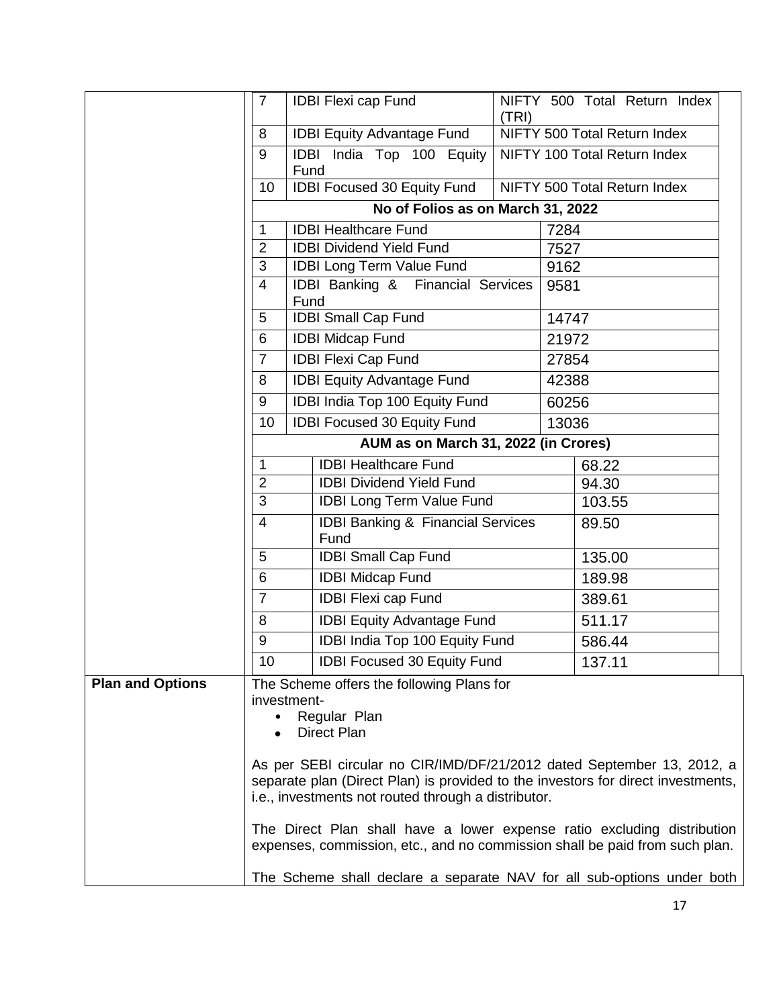|                         | $\overline{7}$           |      | <b>IDBI Flexi cap Fund</b>                                                                                                                             | (TRI) |       | NIFTY 500 Total Return Index |  |
|-------------------------|--------------------------|------|--------------------------------------------------------------------------------------------------------------------------------------------------------|-------|-------|------------------------------|--|
|                         | 8                        |      | <b>IDBI Equity Advantage Fund</b>                                                                                                                      |       |       | NIFTY 500 Total Return Index |  |
|                         | 9                        | Fund | IDBI India Top 100 Equity                                                                                                                              |       |       | NIFTY 100 Total Return Index |  |
|                         | 10                       |      | IDBI Focused 30 Equity Fund                                                                                                                            |       |       | NIFTY 500 Total Return Index |  |
|                         |                          |      | No of Folios as on March 31, 2022                                                                                                                      |       |       |                              |  |
|                         | $\mathbf 1$              |      | <b>IDBI Healthcare Fund</b>                                                                                                                            |       | 7284  |                              |  |
|                         | $\overline{2}$           |      | <b>IDBI Dividend Yield Fund</b>                                                                                                                        |       | 7527  |                              |  |
|                         | 3                        |      | <b>IDBI Long Term Value Fund</b>                                                                                                                       |       | 9162  |                              |  |
|                         | $\overline{4}$           | Fund | IDBI Banking & Financial Services                                                                                                                      |       | 9581  |                              |  |
|                         | 5                        |      | <b>IDBI Small Cap Fund</b>                                                                                                                             |       | 14747 |                              |  |
|                         | 6                        |      | <b>IDBI Midcap Fund</b>                                                                                                                                |       | 21972 |                              |  |
|                         | $\overline{7}$           |      | <b>IDBI Flexi Cap Fund</b>                                                                                                                             |       | 27854 |                              |  |
|                         | 8                        |      | <b>IDBI Equity Advantage Fund</b>                                                                                                                      |       | 42388 |                              |  |
|                         | 9                        |      | IDBI India Top 100 Equity Fund                                                                                                                         |       | 60256 |                              |  |
|                         | 10                       |      | <b>IDBI Focused 30 Equity Fund</b>                                                                                                                     |       | 13036 |                              |  |
|                         |                          |      | AUM as on March 31, 2022 (in Crores)                                                                                                                   |       |       |                              |  |
|                         | $\mathbf{1}$             |      | <b>IDBI Healthcare Fund</b>                                                                                                                            |       |       | 68.22                        |  |
|                         | $\overline{2}$           |      | <b>IDBI Dividend Yield Fund</b>                                                                                                                        |       |       | 94.30                        |  |
|                         | 3                        |      | <b>IDBI Long Term Value Fund</b>                                                                                                                       |       |       | 103.55                       |  |
|                         | $\overline{4}$           |      | <b>IDBI Banking &amp; Financial Services</b><br>Fund                                                                                                   |       |       | 89.50                        |  |
|                         | 5                        |      | <b>IDBI Small Cap Fund</b>                                                                                                                             |       |       | 135.00                       |  |
|                         | 6                        |      | <b>IDBI Midcap Fund</b>                                                                                                                                |       |       | 189.98                       |  |
|                         | $\overline{7}$           |      | <b>IDBI Flexi cap Fund</b>                                                                                                                             |       |       | 389.61                       |  |
|                         | 8                        |      | <b>IDBI Equity Advantage Fund</b>                                                                                                                      |       |       | 511.17                       |  |
|                         | 9                        |      | IDBI India Top 100 Equity Fund                                                                                                                         |       |       | 586.44                       |  |
|                         | 10                       |      | <b>IDBI Focused 30 Equity Fund</b>                                                                                                                     |       |       | 137.11                       |  |
| <b>Plan and Options</b> |                          |      | The Scheme offers the following Plans for                                                                                                              |       |       |                              |  |
|                         | investment-<br>$\bullet$ |      | Regular Plan                                                                                                                                           |       |       |                              |  |
|                         |                          |      | Direct Plan                                                                                                                                            |       |       |                              |  |
|                         |                          |      |                                                                                                                                                        |       |       |                              |  |
|                         |                          |      | As per SEBI circular no CIR/IMD/DF/21/2012 dated September 13, 2012, a                                                                                 |       |       |                              |  |
|                         |                          |      | separate plan (Direct Plan) is provided to the investors for direct investments,<br>i.e., investments not routed through a distributor.                |       |       |                              |  |
|                         |                          |      |                                                                                                                                                        |       |       |                              |  |
|                         |                          |      | The Direct Plan shall have a lower expense ratio excluding distribution<br>expenses, commission, etc., and no commission shall be paid from such plan. |       |       |                              |  |
|                         |                          |      | The Scheme shall declare a separate NAV for all sub-options under both                                                                                 |       |       |                              |  |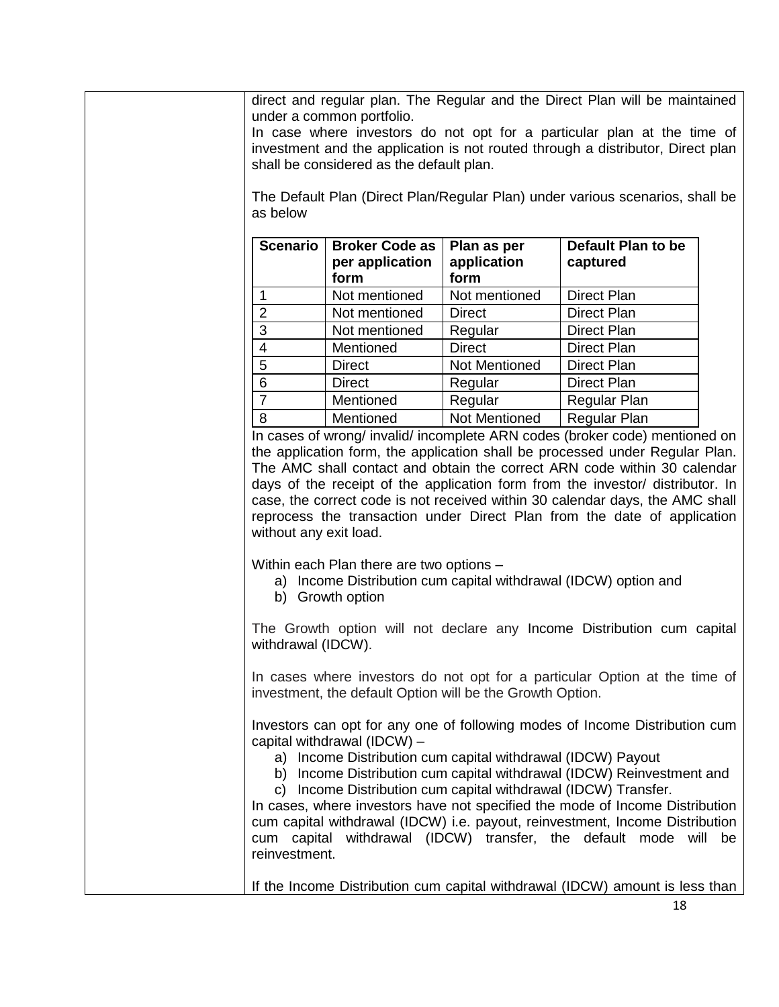direct and regular plan. The Regular and the Direct Plan will be maintained under a common portfolio.

In case where investors do not opt for a particular plan at the time of investment and the application is not routed through a distributor, Direct plan shall be considered as the default plan.

The Default Plan (Direct Plan/Regular Plan) under various scenarios, shall be as below

| <b>Scenario</b> | <b>Broker Code as</b><br>per application<br>form | Plan as per<br>application<br>form | <b>Default Plan to be</b><br>captured |
|-----------------|--------------------------------------------------|------------------------------------|---------------------------------------|
|                 | Not mentioned                                    | Not mentioned                      | <b>Direct Plan</b>                    |
| $\overline{2}$  | Not mentioned                                    | <b>Direct</b>                      | <b>Direct Plan</b>                    |
| 3               | Not mentioned                                    | Regular                            | Direct Plan                           |
| 4               | Mentioned                                        | <b>Direct</b>                      | <b>Direct Plan</b>                    |
| 5               | <b>Direct</b>                                    | Not Mentioned                      | <b>Direct Plan</b>                    |
| 6               | <b>Direct</b>                                    | Regular                            | <b>Direct Plan</b>                    |
| 7               | Mentioned                                        | Regular                            | Regular Plan                          |
| 8               | Mentioned                                        | <b>Not Mentioned</b>               | <b>Regular Plan</b>                   |

In cases of wrong/ invalid/ incomplete ARN codes (broker code) mentioned on the application form, the application shall be processed under Regular Plan. The AMC shall contact and obtain the correct ARN code within 30 calendar days of the receipt of the application form from the investor/ distributor. In case, the correct code is not received within 30 calendar days, the AMC shall reprocess the transaction under Direct Plan from the date of application without any exit load.

Within each Plan there are two options –

- a) Income Distribution cum capital withdrawal (IDCW) option and
- b) Growth option

The Growth option will not declare any Income Distribution cum capital withdrawal (IDCW).

In cases where investors do not opt for a particular Option at the time of investment, the default Option will be the Growth Option.

Investors can opt for any one of following modes of Income Distribution cum capital withdrawal (IDCW) –

a) Income Distribution cum capital withdrawal (IDCW) Payout

b) Income Distribution cum capital withdrawal (IDCW) Reinvestment and

c) Income Distribution cum capital withdrawal (IDCW) Transfer.

In cases, where investors have not specified the mode of Income Distribution cum capital withdrawal (IDCW) i.e. payout, reinvestment, Income Distribution cum capital withdrawal (IDCW) transfer, the default mode will be reinvestment.

If the Income Distribution cum capital withdrawal (IDCW) amount is less than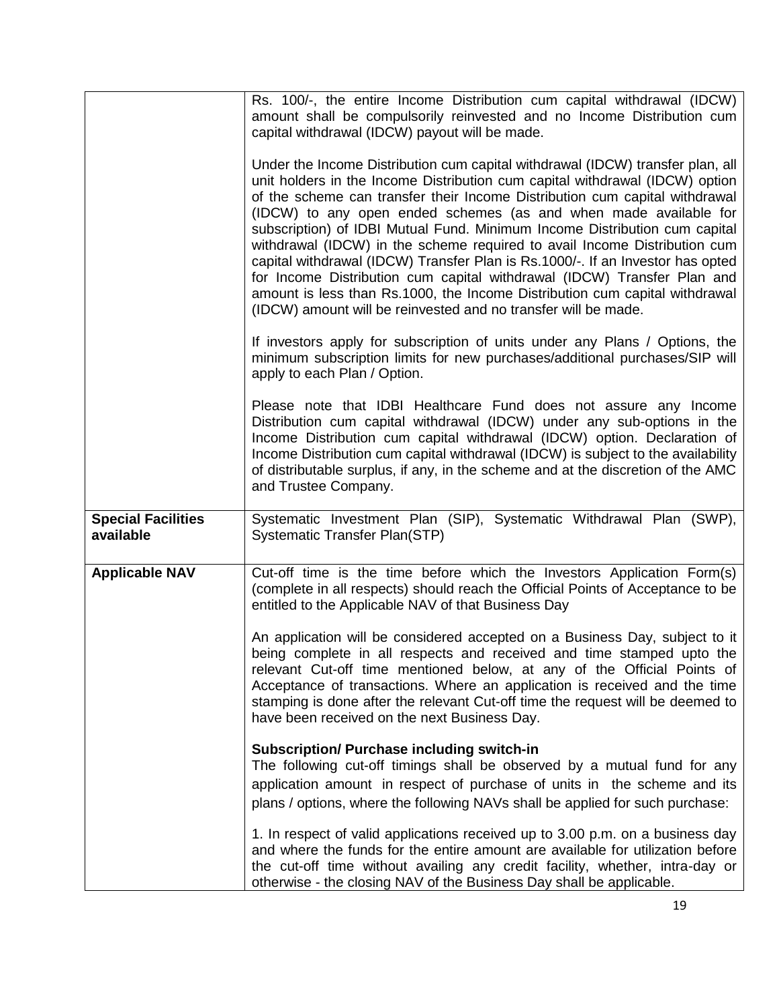|                                        | Rs. 100/-, the entire Income Distribution cum capital withdrawal (IDCW)<br>amount shall be compulsorily reinvested and no Income Distribution cum<br>capital withdrawal (IDCW) payout will be made.                                                                                                                                                                                                                                                                                                                                                                                                                                                                                                                                                                                        |
|----------------------------------------|--------------------------------------------------------------------------------------------------------------------------------------------------------------------------------------------------------------------------------------------------------------------------------------------------------------------------------------------------------------------------------------------------------------------------------------------------------------------------------------------------------------------------------------------------------------------------------------------------------------------------------------------------------------------------------------------------------------------------------------------------------------------------------------------|
|                                        | Under the Income Distribution cum capital withdrawal (IDCW) transfer plan, all<br>unit holders in the Income Distribution cum capital withdrawal (IDCW) option<br>of the scheme can transfer their Income Distribution cum capital withdrawal<br>(IDCW) to any open ended schemes (as and when made available for<br>subscription) of IDBI Mutual Fund. Minimum Income Distribution cum capital<br>withdrawal (IDCW) in the scheme required to avail Income Distribution cum<br>capital withdrawal (IDCW) Transfer Plan is Rs.1000/-. If an Investor has opted<br>for Income Distribution cum capital withdrawal (IDCW) Transfer Plan and<br>amount is less than Rs.1000, the Income Distribution cum capital withdrawal<br>(IDCW) amount will be reinvested and no transfer will be made. |
|                                        | If investors apply for subscription of units under any Plans / Options, the<br>minimum subscription limits for new purchases/additional purchases/SIP will<br>apply to each Plan / Option.                                                                                                                                                                                                                                                                                                                                                                                                                                                                                                                                                                                                 |
|                                        | Please note that IDBI Healthcare Fund does not assure any Income<br>Distribution cum capital withdrawal (IDCW) under any sub-options in the<br>Income Distribution cum capital withdrawal (IDCW) option. Declaration of<br>Income Distribution cum capital withdrawal (IDCW) is subject to the availability<br>of distributable surplus, if any, in the scheme and at the discretion of the AMC<br>and Trustee Company.                                                                                                                                                                                                                                                                                                                                                                    |
| <b>Special Facilities</b><br>available | Systematic Investment Plan (SIP), Systematic Withdrawal Plan (SWP),<br><b>Systematic Transfer Plan(STP)</b>                                                                                                                                                                                                                                                                                                                                                                                                                                                                                                                                                                                                                                                                                |
| <b>Applicable NAV</b>                  | Cut-off time is the time before which the Investors Application Form(s)<br>(complete in all respects) should reach the Official Points of Acceptance to be<br>entitled to the Applicable NAV of that Business Day                                                                                                                                                                                                                                                                                                                                                                                                                                                                                                                                                                          |
|                                        | An application will be considered accepted on a Business Day, subject to it<br>being complete in all respects and received and time stamped upto the<br>relevant Cut-off time mentioned below, at any of the Official Points of<br>Acceptance of transactions. Where an application is received and the time<br>stamping is done after the relevant Cut-off time the request will be deemed to<br>have been received on the next Business Day.                                                                                                                                                                                                                                                                                                                                             |
|                                        | <b>Subscription/ Purchase including switch-in</b><br>The following cut-off timings shall be observed by a mutual fund for any<br>application amount in respect of purchase of units in the scheme and its<br>plans / options, where the following NAVs shall be applied for such purchase:                                                                                                                                                                                                                                                                                                                                                                                                                                                                                                 |
|                                        | 1. In respect of valid applications received up to 3.00 p.m. on a business day<br>and where the funds for the entire amount are available for utilization before<br>the cut-off time without availing any credit facility, whether, intra-day or<br>otherwise - the closing NAV of the Business Day shall be applicable.                                                                                                                                                                                                                                                                                                                                                                                                                                                                   |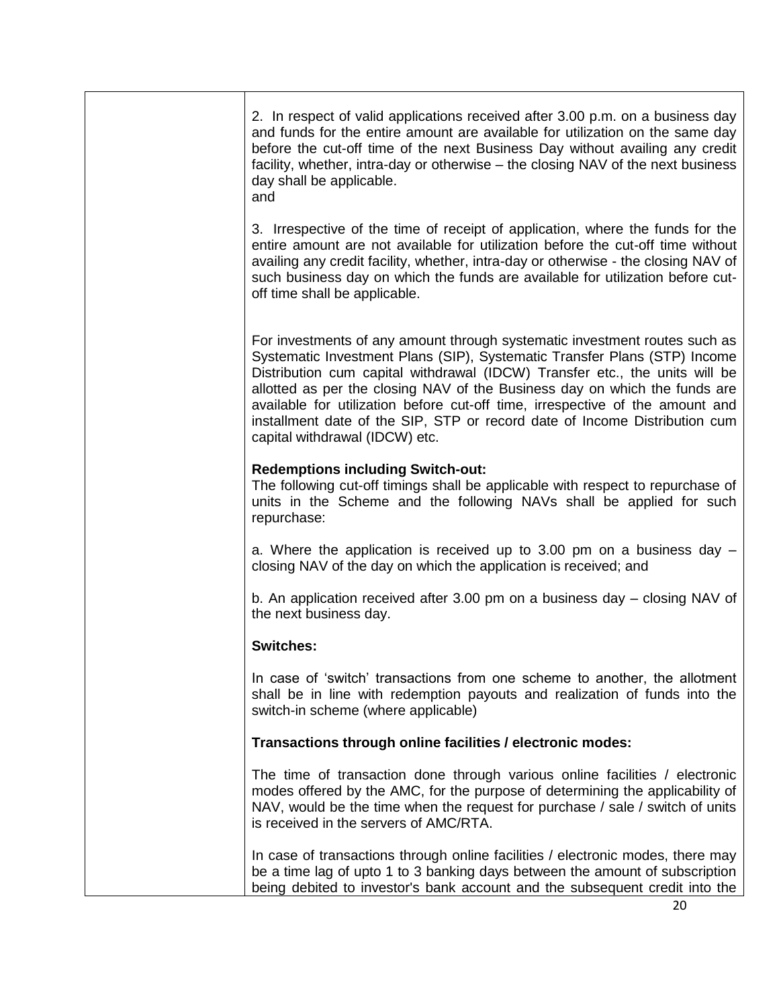| 2. In respect of valid applications received after 3.00 p.m. on a business day<br>and funds for the entire amount are available for utilization on the same day<br>before the cut-off time of the next Business Day without availing any credit<br>facility, whether, intra-day or otherwise – the closing NAV of the next business<br>day shall be applicable.<br>and                                                                                                                                                |
|-----------------------------------------------------------------------------------------------------------------------------------------------------------------------------------------------------------------------------------------------------------------------------------------------------------------------------------------------------------------------------------------------------------------------------------------------------------------------------------------------------------------------|
| 3. Irrespective of the time of receipt of application, where the funds for the<br>entire amount are not available for utilization before the cut-off time without<br>availing any credit facility, whether, intra-day or otherwise - the closing NAV of<br>such business day on which the funds are available for utilization before cut-<br>off time shall be applicable.                                                                                                                                            |
| For investments of any amount through systematic investment routes such as<br>Systematic Investment Plans (SIP), Systematic Transfer Plans (STP) Income<br>Distribution cum capital withdrawal (IDCW) Transfer etc., the units will be<br>allotted as per the closing NAV of the Business day on which the funds are<br>available for utilization before cut-off time, irrespective of the amount and<br>installment date of the SIP, STP or record date of Income Distribution cum<br>capital withdrawal (IDCW) etc. |
| <b>Redemptions including Switch-out:</b><br>The following cut-off timings shall be applicable with respect to repurchase of<br>units in the Scheme and the following NAVs shall be applied for such<br>repurchase:                                                                                                                                                                                                                                                                                                    |
| a. Where the application is received up to 3.00 pm on a business day $-$<br>closing NAV of the day on which the application is received; and                                                                                                                                                                                                                                                                                                                                                                          |
| b. An application received after 3.00 pm on a business day - closing NAV of<br>the next business day.                                                                                                                                                                                                                                                                                                                                                                                                                 |
| <b>Switches:</b>                                                                                                                                                                                                                                                                                                                                                                                                                                                                                                      |
| In case of 'switch' transactions from one scheme to another, the allotment<br>shall be in line with redemption payouts and realization of funds into the<br>switch-in scheme (where applicable)                                                                                                                                                                                                                                                                                                                       |
| Transactions through online facilities / electronic modes:                                                                                                                                                                                                                                                                                                                                                                                                                                                            |
| The time of transaction done through various online facilities / electronic<br>modes offered by the AMC, for the purpose of determining the applicability of<br>NAV, would be the time when the request for purchase / sale / switch of units<br>is received in the servers of AMC/RTA.                                                                                                                                                                                                                               |
| In case of transactions through online facilities / electronic modes, there may<br>be a time lag of upto 1 to 3 banking days between the amount of subscription<br>being debited to investor's bank account and the subsequent credit into the                                                                                                                                                                                                                                                                        |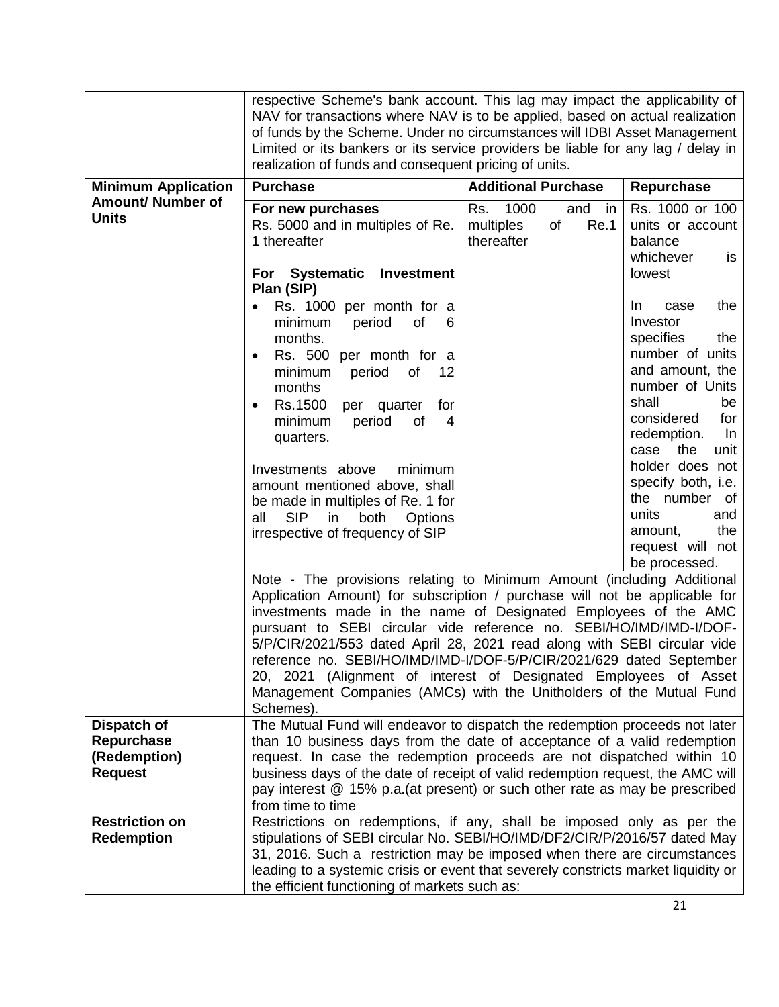|                                                             | respective Scheme's bank account. This lag may impact the applicability of<br>NAV for transactions where NAV is to be applied, based on actual realization<br>of funds by the Scheme. Under no circumstances will IDBI Asset Management<br>Limited or its bankers or its service providers be liable for any lag / delay in<br>realization of funds and consequent pricing of units.                                                                                                                                                                                                                       |                                                                |                                                                                                                                                                                                                                                        |
|-------------------------------------------------------------|------------------------------------------------------------------------------------------------------------------------------------------------------------------------------------------------------------------------------------------------------------------------------------------------------------------------------------------------------------------------------------------------------------------------------------------------------------------------------------------------------------------------------------------------------------------------------------------------------------|----------------------------------------------------------------|--------------------------------------------------------------------------------------------------------------------------------------------------------------------------------------------------------------------------------------------------------|
| <b>Minimum Application</b>                                  | <b>Purchase</b>                                                                                                                                                                                                                                                                                                                                                                                                                                                                                                                                                                                            | <b>Additional Purchase</b>                                     | Repurchase                                                                                                                                                                                                                                             |
| <b>Amount/ Number of</b><br><b>Units</b>                    | For new purchases<br>Rs. 5000 and in multiples of Re.<br>1 thereafter<br>For Systematic<br>Investment                                                                                                                                                                                                                                                                                                                                                                                                                                                                                                      | 1000<br>Rs.<br>and in<br>multiples<br>of<br>Re.1<br>thereafter | Rs. 1000 or 100<br>units or account<br>balance<br>whichever<br>is.<br>lowest                                                                                                                                                                           |
|                                                             | Plan (SIP)                                                                                                                                                                                                                                                                                                                                                                                                                                                                                                                                                                                                 |                                                                |                                                                                                                                                                                                                                                        |
|                                                             | Rs. 1000 per month for a<br>minimum<br>period<br>of<br>6<br>months.<br>Rs. 500 per month for a<br>$\bullet$<br>minimum<br>period<br>of<br>12<br>months<br>Rs.1500<br>for<br>per quarter<br>$\bullet$<br>minimum<br>period<br>of<br>4<br>quarters.<br>Investments above<br>minimum<br>amount mentioned above, shall<br>be made in multiples of Re. 1 for                                                                                                                                                                                                                                                    |                                                                | the<br>In.<br>case<br>Investor<br>specifies<br>the<br>number of units<br>and amount, the<br>number of Units<br>shall<br>be<br>considered<br>for<br>redemption.<br>In.<br>the<br>case<br>unit<br>holder does not<br>specify both, i.e.<br>the number of |
|                                                             | <b>SIP</b><br>both<br>all<br>in<br><b>Options</b><br>irrespective of frequency of SIP                                                                                                                                                                                                                                                                                                                                                                                                                                                                                                                      |                                                                | units<br>and<br>the<br>amount,<br>request will not<br>be processed.                                                                                                                                                                                    |
|                                                             | Note - The provisions relating to Minimum Amount (including Additional<br>Application Amount) for subscription / purchase will not be applicable for<br>investments made in the name of Designated Employees of the AMC<br>pursuant to SEBI circular vide reference no. SEBI/HO/IMD/IMD-I/DOF-<br>5/P/CIR/2021/553 dated April 28, 2021 read along with SEBI circular vide<br>reference no. SEBI/HO/IMD/IMD-I/DOF-5/P/CIR/2021/629 dated September<br>20, 2021 (Alignment of interest of Designated Employees of Asset<br>Management Companies (AMCs) with the Unitholders of the Mutual Fund<br>Schemes). |                                                                |                                                                                                                                                                                                                                                        |
| Dispatch of<br>Repurchase<br>(Redemption)<br><b>Request</b> | The Mutual Fund will endeavor to dispatch the redemption proceeds not later<br>than 10 business days from the date of acceptance of a valid redemption<br>request. In case the redemption proceeds are not dispatched within 10<br>business days of the date of receipt of valid redemption request, the AMC will<br>pay interest @ 15% p.a. (at present) or such other rate as may be prescribed<br>from time to time                                                                                                                                                                                     |                                                                |                                                                                                                                                                                                                                                        |
| <b>Restriction on</b><br><b>Redemption</b>                  | Restrictions on redemptions, if any, shall be imposed only as per the<br>stipulations of SEBI circular No. SEBI/HO/IMD/DF2/CIR/P/2016/57 dated May<br>31, 2016. Such a restriction may be imposed when there are circumstances<br>leading to a systemic crisis or event that severely constricts market liquidity or<br>the efficient functioning of markets such as:                                                                                                                                                                                                                                      |                                                                |                                                                                                                                                                                                                                                        |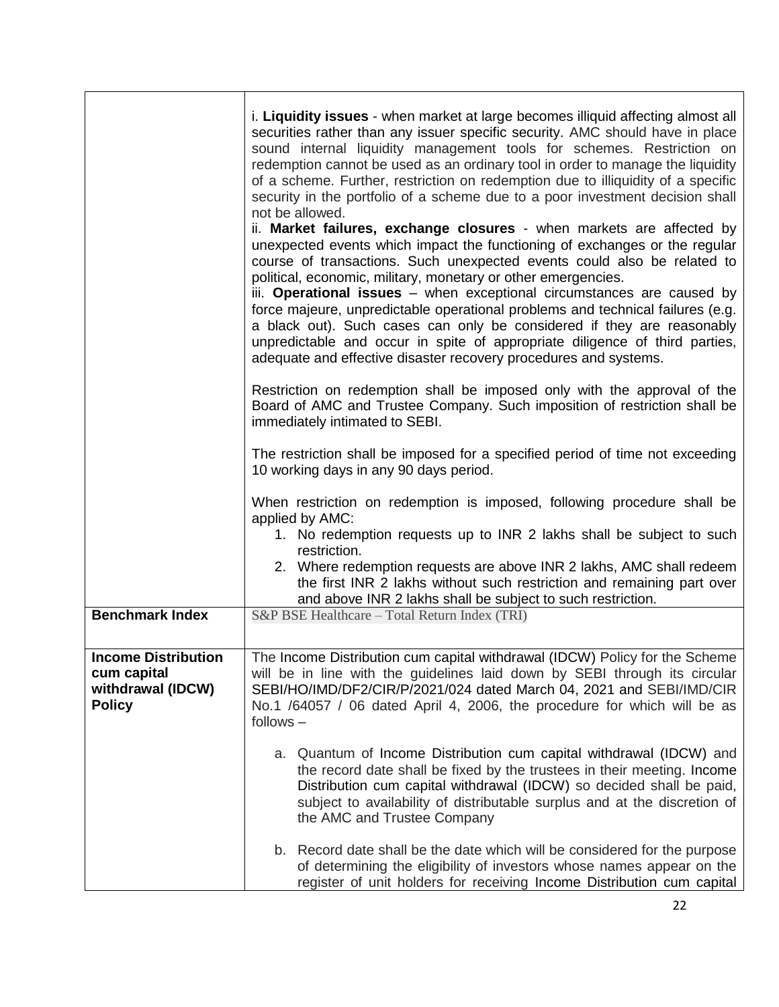|                                                                                 | i. Liquidity issues - when market at large becomes illiquid affecting almost all<br>securities rather than any issuer specific security. AMC should have in place<br>sound internal liquidity management tools for schemes. Restriction on<br>redemption cannot be used as an ordinary tool in order to manage the liquidity<br>of a scheme. Further, restriction on redemption due to illiquidity of a specific<br>security in the portfolio of a scheme due to a poor investment decision shall<br>not be allowed.<br>ii. Market failures, exchange closures - when markets are affected by<br>unexpected events which impact the functioning of exchanges or the regular<br>course of transactions. Such unexpected events could also be related to<br>political, economic, military, monetary or other emergencies.<br>iii. Operational issues - when exceptional circumstances are caused by<br>force majeure, unpredictable operational problems and technical failures (e.g.<br>a black out). Such cases can only be considered if they are reasonably<br>unpredictable and occur in spite of appropriate diligence of third parties,<br>adequate and effective disaster recovery procedures and systems.<br>Restriction on redemption shall be imposed only with the approval of the<br>Board of AMC and Trustee Company. Such imposition of restriction shall be |
|---------------------------------------------------------------------------------|---------------------------------------------------------------------------------------------------------------------------------------------------------------------------------------------------------------------------------------------------------------------------------------------------------------------------------------------------------------------------------------------------------------------------------------------------------------------------------------------------------------------------------------------------------------------------------------------------------------------------------------------------------------------------------------------------------------------------------------------------------------------------------------------------------------------------------------------------------------------------------------------------------------------------------------------------------------------------------------------------------------------------------------------------------------------------------------------------------------------------------------------------------------------------------------------------------------------------------------------------------------------------------------------------------------------------------------------------------------------------|
|                                                                                 | immediately intimated to SEBI.<br>The restriction shall be imposed for a specified period of time not exceeding<br>10 working days in any 90 days period.                                                                                                                                                                                                                                                                                                                                                                                                                                                                                                                                                                                                                                                                                                                                                                                                                                                                                                                                                                                                                                                                                                                                                                                                                 |
|                                                                                 | When restriction on redemption is imposed, following procedure shall be<br>applied by AMC:<br>1. No redemption requests up to INR 2 lakhs shall be subject to such<br>restriction.<br>2. Where redemption requests are above INR 2 lakhs, AMC shall redeem<br>the first INR 2 lakhs without such restriction and remaining part over<br>and above INR 2 lakhs shall be subject to such restriction.                                                                                                                                                                                                                                                                                                                                                                                                                                                                                                                                                                                                                                                                                                                                                                                                                                                                                                                                                                       |
| <b>Benchmark Index</b>                                                          | S&P BSE Healthcare - Total Return Index (TRI)                                                                                                                                                                                                                                                                                                                                                                                                                                                                                                                                                                                                                                                                                                                                                                                                                                                                                                                                                                                                                                                                                                                                                                                                                                                                                                                             |
| <b>Income Distribution</b><br>cum capital<br>withdrawal (IDCW)<br><b>Policy</b> | The Income Distribution cum capital withdrawal (IDCW) Policy for the Scheme<br>will be in line with the guidelines laid down by SEBI through its circular<br>SEBI/HO/IMD/DF2/CIR/P/2021/024 dated March 04, 2021 and SEBI/IMD/CIR<br>No.1 /64057 / 06 dated April 4, 2006, the procedure for which will be as<br>$follows -$                                                                                                                                                                                                                                                                                                                                                                                                                                                                                                                                                                                                                                                                                                                                                                                                                                                                                                                                                                                                                                              |
|                                                                                 | a. Quantum of Income Distribution cum capital withdrawal (IDCW) and<br>the record date shall be fixed by the trustees in their meeting. Income<br>Distribution cum capital withdrawal (IDCW) so decided shall be paid,<br>subject to availability of distributable surplus and at the discretion of<br>the AMC and Trustee Company                                                                                                                                                                                                                                                                                                                                                                                                                                                                                                                                                                                                                                                                                                                                                                                                                                                                                                                                                                                                                                        |
|                                                                                 | b. Record date shall be the date which will be considered for the purpose<br>of determining the eligibility of investors whose names appear on the<br>register of unit holders for receiving Income Distribution cum capital                                                                                                                                                                                                                                                                                                                                                                                                                                                                                                                                                                                                                                                                                                                                                                                                                                                                                                                                                                                                                                                                                                                                              |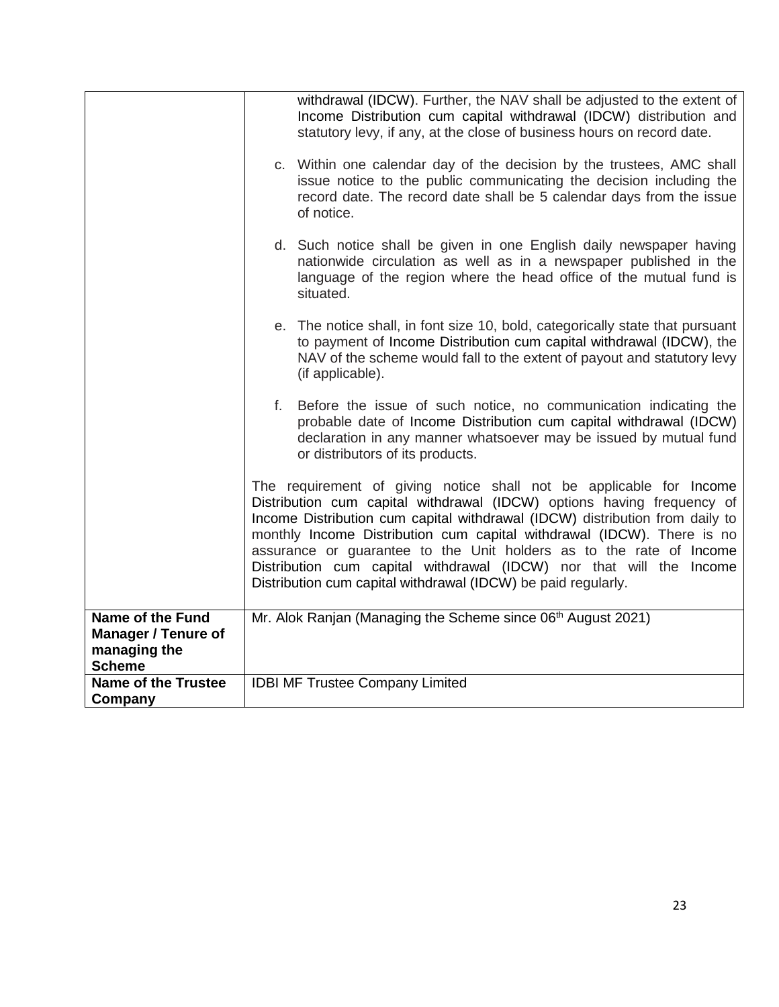|                                                                                        | withdrawal (IDCW). Further, the NAV shall be adjusted to the extent of<br>Income Distribution cum capital withdrawal (IDCW) distribution and<br>statutory levy, if any, at the close of business hours on record date.<br>c. Within one calendar day of the decision by the trustees, AMC shall<br>issue notice to the public communicating the decision including the<br>record date. The record date shall be 5 calendar days from the issue                                                                         |
|----------------------------------------------------------------------------------------|------------------------------------------------------------------------------------------------------------------------------------------------------------------------------------------------------------------------------------------------------------------------------------------------------------------------------------------------------------------------------------------------------------------------------------------------------------------------------------------------------------------------|
|                                                                                        | of notice.<br>d. Such notice shall be given in one English daily newspaper having<br>nationwide circulation as well as in a newspaper published in the<br>language of the region where the head office of the mutual fund is<br>situated.                                                                                                                                                                                                                                                                              |
|                                                                                        | e. The notice shall, in font size 10, bold, categorically state that pursuant<br>to payment of Income Distribution cum capital withdrawal (IDCW), the<br>NAV of the scheme would fall to the extent of payout and statutory levy<br>(if applicable).                                                                                                                                                                                                                                                                   |
|                                                                                        | f. Before the issue of such notice, no communication indicating the<br>probable date of Income Distribution cum capital withdrawal (IDCW)<br>declaration in any manner whatsoever may be issued by mutual fund<br>or distributors of its products.                                                                                                                                                                                                                                                                     |
|                                                                                        | The requirement of giving notice shall not be applicable for Income<br>Distribution cum capital withdrawal (IDCW) options having frequency of<br>Income Distribution cum capital withdrawal (IDCW) distribution from daily to<br>monthly Income Distribution cum capital withdrawal (IDCW). There is no<br>assurance or guarantee to the Unit holders as to the rate of Income<br>Distribution cum capital withdrawal (IDCW) nor that will the Income<br>Distribution cum capital withdrawal (IDCW) be paid regularly. |
| <b>Name of the Fund</b><br><b>Manager / Tenure of</b><br>managing the<br><b>Scheme</b> | Mr. Alok Ranjan (Managing the Scheme since 06 <sup>th</sup> August 2021)                                                                                                                                                                                                                                                                                                                                                                                                                                               |
| <b>Name of the Trustee</b><br>Company                                                  | <b>IDBI MF Trustee Company Limited</b>                                                                                                                                                                                                                                                                                                                                                                                                                                                                                 |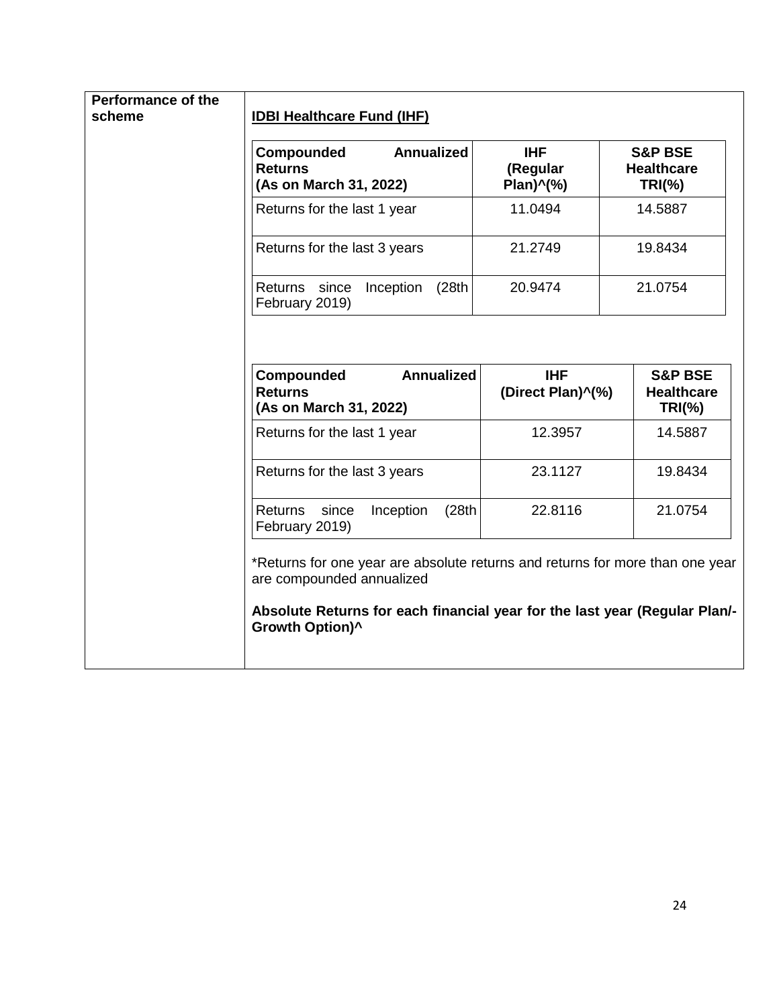| <b>Annualized</b><br>Compounded<br><b>Returns</b><br>(As on March 31, 2022) | <b>IHF</b><br>(Regular<br>Plan)^(%)                                           | <b>S&amp;P BSE</b><br><b>Healthcare</b><br>$TRI(\% )$ |
|-----------------------------------------------------------------------------|-------------------------------------------------------------------------------|-------------------------------------------------------|
| Returns for the last 1 year                                                 | 11.0494                                                                       | 14.5887                                               |
| Returns for the last 3 years                                                | 21.2749                                                                       | 19.8434                                               |
| Inception<br>(28th)<br>Returns<br>since<br>February 2019)                   | 20.9474                                                                       | 21.0754                                               |
| <b>Annualized</b><br>Compounded<br><b>Returns</b><br>(As on March 31, 2022) | <b>IHF</b><br>(Direct Plan)^(%)                                               | <b>S&amp;P BSE</b><br><b>Healthcare</b><br>$TRI(\% )$ |
| Returns for the last 1 year                                                 | 12.3957                                                                       | 14.5887                                               |
| Returns for the last 3 years                                                | 23.1127                                                                       | 19.8434                                               |
| since<br>Inception<br>(28th)<br><b>Returns</b><br>February 2019)            | 22.8116                                                                       | 21.0754                                               |
|                                                                             | *Returns for one year are absolute returns and returns for more than one year |                                                       |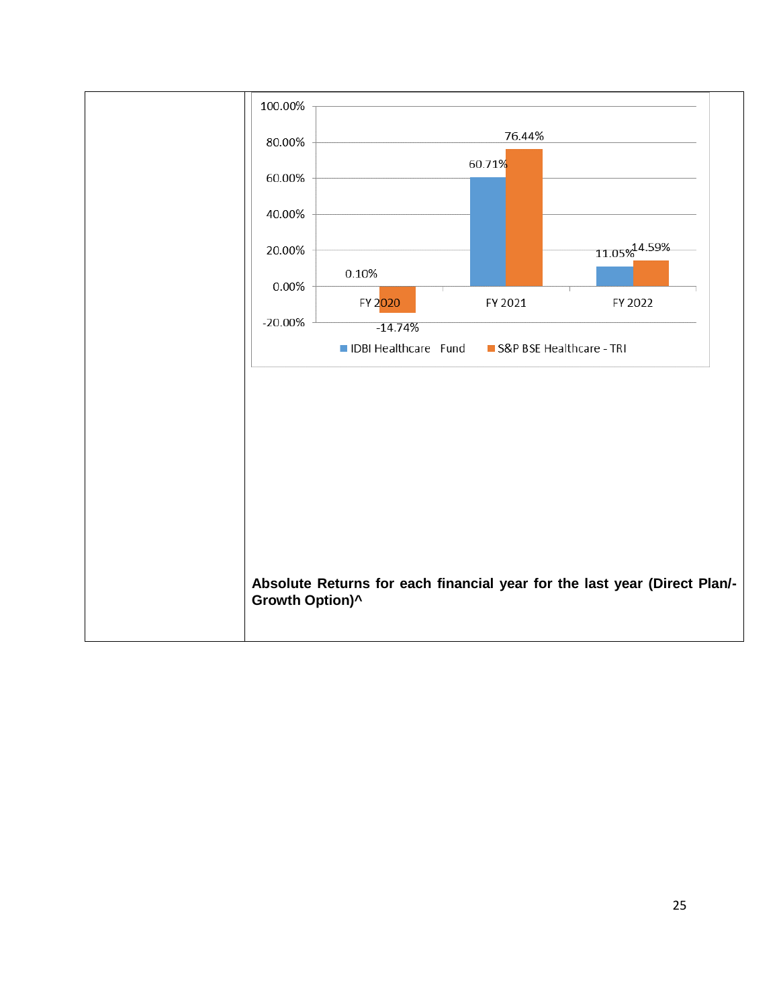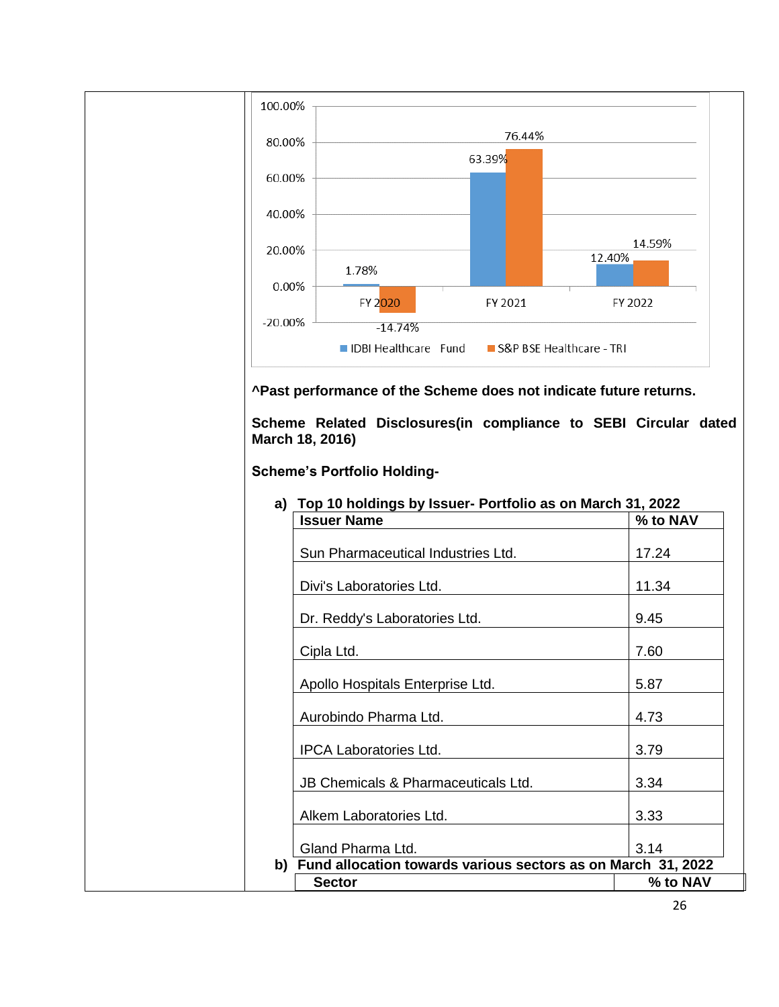

**^Past performance of the Scheme does not indicate future returns.** 

**Scheme Related Disclosures(in compliance to SEBI Circular dated March 18, 2016)**

**Scheme's Portfolio Holding-**

| <b>Issuer Name</b>                                                            | % to NAV |
|-------------------------------------------------------------------------------|----------|
| Sun Pharmaceutical Industries Ltd.                                            | 17.24    |
| Divi's Laboratories Ltd.                                                      | 11.34    |
| Dr. Reddy's Laboratories Ltd.                                                 | 9.45     |
| Cipla Ltd.                                                                    | 7.60     |
| Apollo Hospitals Enterprise Ltd.                                              | 5.87     |
| Aurobindo Pharma Ltd.                                                         | 4.73     |
| <b>IPCA Laboratories Ltd.</b>                                                 | 3.79     |
| JB Chemicals & Pharmaceuticals Ltd.                                           | 3.34     |
| Alkem Laboratories Ltd.                                                       | 3.33     |
| Gland Pharma Ltd.<br>b)                                                       | 3.14     |
| Fund allocation towards various sectors as on March 31, 2022<br><b>Sector</b> | % to NAV |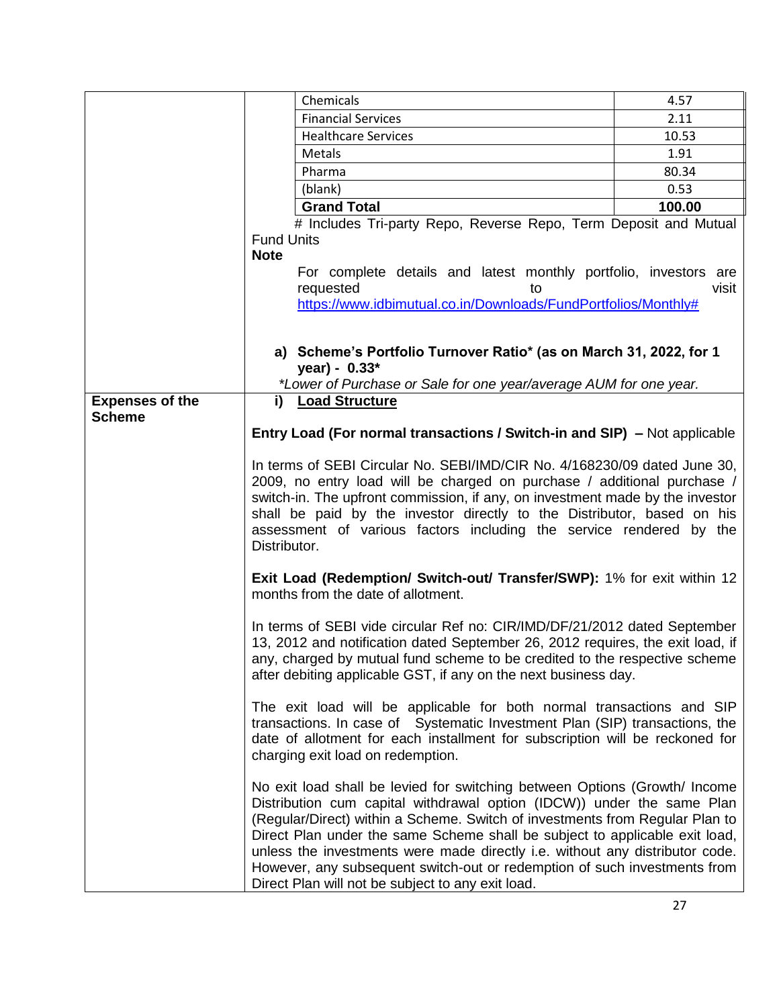|                        | Chemicals                                                                                                                                                                                                                                                                                                                                                                                                                                                                                                                             | 4.57   |
|------------------------|---------------------------------------------------------------------------------------------------------------------------------------------------------------------------------------------------------------------------------------------------------------------------------------------------------------------------------------------------------------------------------------------------------------------------------------------------------------------------------------------------------------------------------------|--------|
|                        | <b>Financial Services</b>                                                                                                                                                                                                                                                                                                                                                                                                                                                                                                             | 2.11   |
|                        | <b>Healthcare Services</b>                                                                                                                                                                                                                                                                                                                                                                                                                                                                                                            | 10.53  |
|                        | Metals                                                                                                                                                                                                                                                                                                                                                                                                                                                                                                                                | 1.91   |
|                        | Pharma                                                                                                                                                                                                                                                                                                                                                                                                                                                                                                                                | 80.34  |
|                        | (blank)                                                                                                                                                                                                                                                                                                                                                                                                                                                                                                                               | 0.53   |
|                        | <b>Grand Total</b>                                                                                                                                                                                                                                                                                                                                                                                                                                                                                                                    | 100.00 |
|                        | # Includes Tri-party Repo, Reverse Repo, Term Deposit and Mutual<br><b>Fund Units</b><br><b>Note</b><br>For complete details and latest monthly portfolio, investors are<br>requested<br>to<br>https://www.idbimutual.co.in/Downloads/FundPortfolios/Monthly#                                                                                                                                                                                                                                                                         | visit  |
|                        | a) Scheme's Portfolio Turnover Ratio* (as on March 31, 2022, for 1<br>year) - $0.33*$<br>*Lower of Purchase or Sale for one year/average AUM for one year.                                                                                                                                                                                                                                                                                                                                                                            |        |
| <b>Expenses of the</b> | <b>Load Structure</b><br>i)                                                                                                                                                                                                                                                                                                                                                                                                                                                                                                           |        |
| <b>Scheme</b>          | <b>Entry Load (For normal transactions / Switch-in and SIP)</b> - Not applicable                                                                                                                                                                                                                                                                                                                                                                                                                                                      |        |
|                        | In terms of SEBI Circular No. SEBI/IMD/CIR No. 4/168230/09 dated June 30,<br>2009, no entry load will be charged on purchase / additional purchase /<br>switch-in. The upfront commission, if any, on investment made by the investor<br>shall be paid by the investor directly to the Distributor, based on his<br>assessment of various factors including the service rendered by the<br>Distributor.                                                                                                                               |        |
|                        | <b>Exit Load (Redemption/ Switch-out/ Transfer/SWP): 1% for exit within 12</b><br>months from the date of allotment.                                                                                                                                                                                                                                                                                                                                                                                                                  |        |
|                        | In terms of SEBI vide circular Ref no: CIR/IMD/DF/21/2012 dated September<br>13, 2012 and notification dated September 26, 2012 requires, the exit load, if<br>any, charged by mutual fund scheme to be credited to the respective scheme<br>after debiting applicable GST, if any on the next business day.                                                                                                                                                                                                                          |        |
|                        | The exit load will be applicable for both normal transactions and SIP<br>transactions. In case of Systematic Investment Plan (SIP) transactions, the<br>date of allotment for each installment for subscription will be reckoned for<br>charging exit load on redemption.                                                                                                                                                                                                                                                             |        |
|                        | No exit load shall be levied for switching between Options (Growth/ Income<br>Distribution cum capital withdrawal option (IDCW)) under the same Plan<br>(Regular/Direct) within a Scheme. Switch of investments from Regular Plan to<br>Direct Plan under the same Scheme shall be subject to applicable exit load,<br>unless the investments were made directly i.e. without any distributor code.<br>However, any subsequent switch-out or redemption of such investments from<br>Direct Plan will not be subject to any exit load. |        |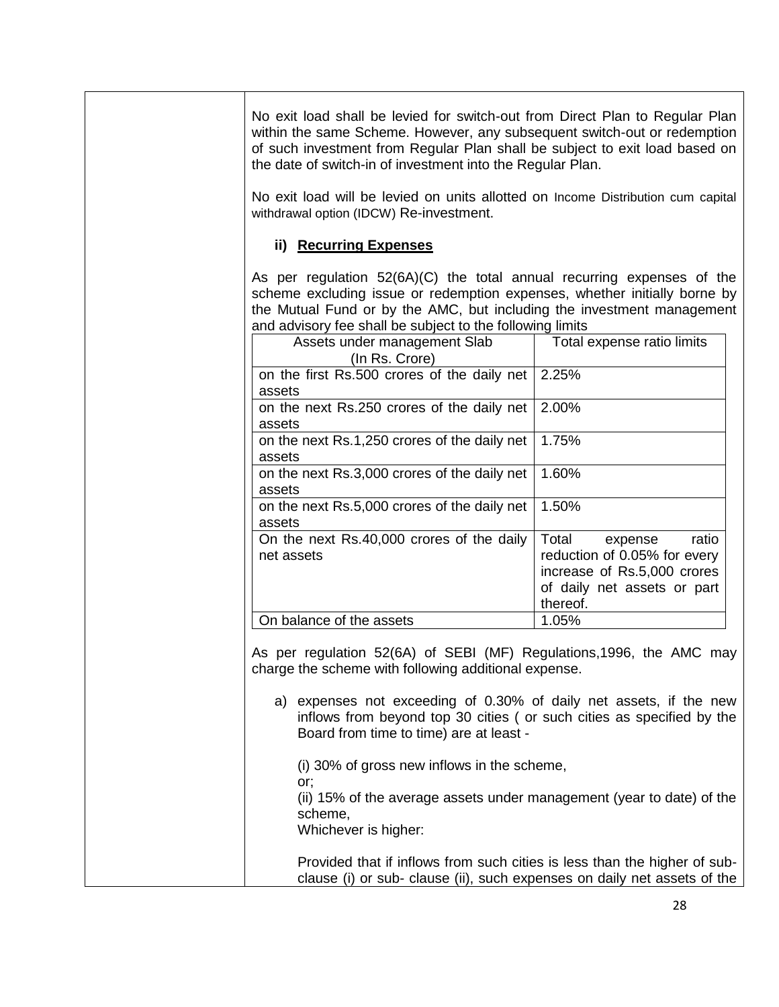| No exit load shall be levied for switch-out from Direct Plan to Regular Plan<br>within the same Scheme. However, any subsequent switch-out or redemption<br>of such investment from Regular Plan shall be subject to exit load based on<br>the date of switch-in of investment into the Regular Plan.<br>No exit load will be levied on units allotted on Income Distribution cum capital |                                                                                                                                     |
|-------------------------------------------------------------------------------------------------------------------------------------------------------------------------------------------------------------------------------------------------------------------------------------------------------------------------------------------------------------------------------------------|-------------------------------------------------------------------------------------------------------------------------------------|
| withdrawal option (IDCW) Re-investment.<br>ii) Recurring Expenses                                                                                                                                                                                                                                                                                                                         |                                                                                                                                     |
| As per regulation $52(6A)(C)$ the total annual recurring expenses of the<br>scheme excluding issue or redemption expenses, whether initially borne by<br>the Mutual Fund or by the AMC, but including the investment management<br>and advisory fee shall be subject to the following limits                                                                                              |                                                                                                                                     |
| Assets under management Slab<br>(In Rs. Crore)                                                                                                                                                                                                                                                                                                                                            | Total expense ratio limits                                                                                                          |
| on the first Rs.500 crores of the daily net<br>assets                                                                                                                                                                                                                                                                                                                                     | 2.25%                                                                                                                               |
| on the next Rs.250 crores of the daily net<br>assets                                                                                                                                                                                                                                                                                                                                      | 2.00%                                                                                                                               |
| on the next Rs.1,250 crores of the daily net<br>assets                                                                                                                                                                                                                                                                                                                                    | 1.75%                                                                                                                               |
| on the next Rs.3,000 crores of the daily net<br>assets                                                                                                                                                                                                                                                                                                                                    | 1.60%                                                                                                                               |
| on the next Rs.5,000 crores of the daily net<br>assets                                                                                                                                                                                                                                                                                                                                    | 1.50%                                                                                                                               |
| On the next Rs.40,000 crores of the daily<br>net assets                                                                                                                                                                                                                                                                                                                                   | ratio<br>Total<br>expense<br>reduction of 0.05% for every<br>increase of Rs.5,000 crores<br>of daily net assets or part<br>thereof. |
| On balance of the assets                                                                                                                                                                                                                                                                                                                                                                  | 1.05%                                                                                                                               |
| As per regulation 52(6A) of SEBI (MF) Regulations, 1996, the AMC may<br>charge the scheme with following additional expense.                                                                                                                                                                                                                                                              |                                                                                                                                     |
| a) expenses not exceeding of 0.30% of daily net assets, if the new<br>inflows from beyond top 30 cities (or such cities as specified by the<br>Board from time to time) are at least -                                                                                                                                                                                                    |                                                                                                                                     |
| (i) 30% of gross new inflows in the scheme,<br>or;                                                                                                                                                                                                                                                                                                                                        |                                                                                                                                     |
| (ii) 15% of the average assets under management (year to date) of the<br>scheme,<br>Whichever is higher:                                                                                                                                                                                                                                                                                  |                                                                                                                                     |
| Provided that if inflows from such cities is less than the higher of sub-<br>clause (i) or sub- clause (ii), such expenses on daily net assets of the                                                                                                                                                                                                                                     |                                                                                                                                     |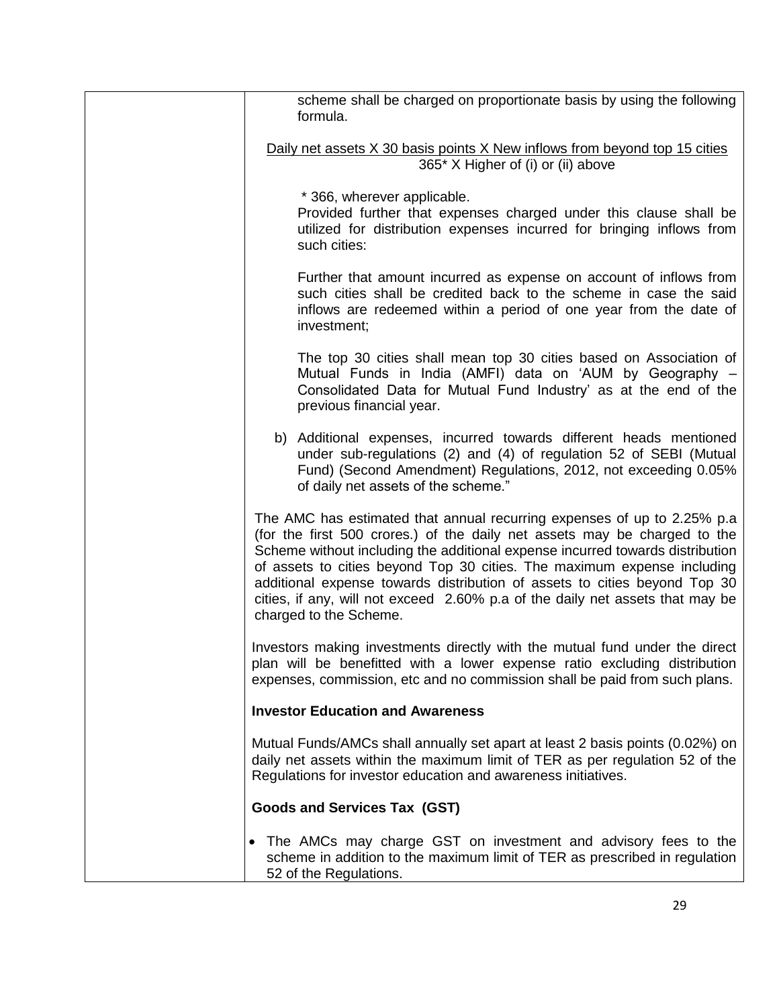| scheme shall be charged on proportionate basis by using the following<br>formula.                                                                                                                                                                                                                                                                                                                                                                                                                         |
|-----------------------------------------------------------------------------------------------------------------------------------------------------------------------------------------------------------------------------------------------------------------------------------------------------------------------------------------------------------------------------------------------------------------------------------------------------------------------------------------------------------|
| Daily net assets X 30 basis points X New inflows from beyond top 15 cities                                                                                                                                                                                                                                                                                                                                                                                                                                |
| 365* X Higher of (i) or (ii) above                                                                                                                                                                                                                                                                                                                                                                                                                                                                        |
| * 366, wherever applicable.<br>Provided further that expenses charged under this clause shall be<br>utilized for distribution expenses incurred for bringing inflows from<br>such cities:                                                                                                                                                                                                                                                                                                                 |
| Further that amount incurred as expense on account of inflows from<br>such cities shall be credited back to the scheme in case the said<br>inflows are redeemed within a period of one year from the date of<br>investment;                                                                                                                                                                                                                                                                               |
| The top 30 cities shall mean top 30 cities based on Association of<br>Mutual Funds in India (AMFI) data on 'AUM by Geography -<br>Consolidated Data for Mutual Fund Industry' as at the end of the<br>previous financial year.                                                                                                                                                                                                                                                                            |
| b) Additional expenses, incurred towards different heads mentioned<br>under sub-regulations (2) and (4) of regulation 52 of SEBI (Mutual<br>Fund) (Second Amendment) Regulations, 2012, not exceeding 0.05%<br>of daily net assets of the scheme."                                                                                                                                                                                                                                                        |
| The AMC has estimated that annual recurring expenses of up to 2.25% p.a.<br>(for the first 500 crores.) of the daily net assets may be charged to the<br>Scheme without including the additional expense incurred towards distribution<br>of assets to cities beyond Top 30 cities. The maximum expense including<br>additional expense towards distribution of assets to cities beyond Top 30<br>cities, if any, will not exceed 2.60% p.a of the daily net assets that may be<br>charged to the Scheme. |
| Investors making investments directly with the mutual fund under the direct<br>plan will be benefitted with a lower expense ratio excluding distribution<br>expenses, commission, etc and no commission shall be paid from such plans.                                                                                                                                                                                                                                                                    |
| <b>Investor Education and Awareness</b>                                                                                                                                                                                                                                                                                                                                                                                                                                                                   |
| Mutual Funds/AMCs shall annually set apart at least 2 basis points (0.02%) on<br>daily net assets within the maximum limit of TER as per regulation 52 of the<br>Regulations for investor education and awareness initiatives.                                                                                                                                                                                                                                                                            |
| <b>Goods and Services Tax (GST)</b>                                                                                                                                                                                                                                                                                                                                                                                                                                                                       |
| • The AMCs may charge GST on investment and advisory fees to the<br>scheme in addition to the maximum limit of TER as prescribed in regulation<br>52 of the Regulations.                                                                                                                                                                                                                                                                                                                                  |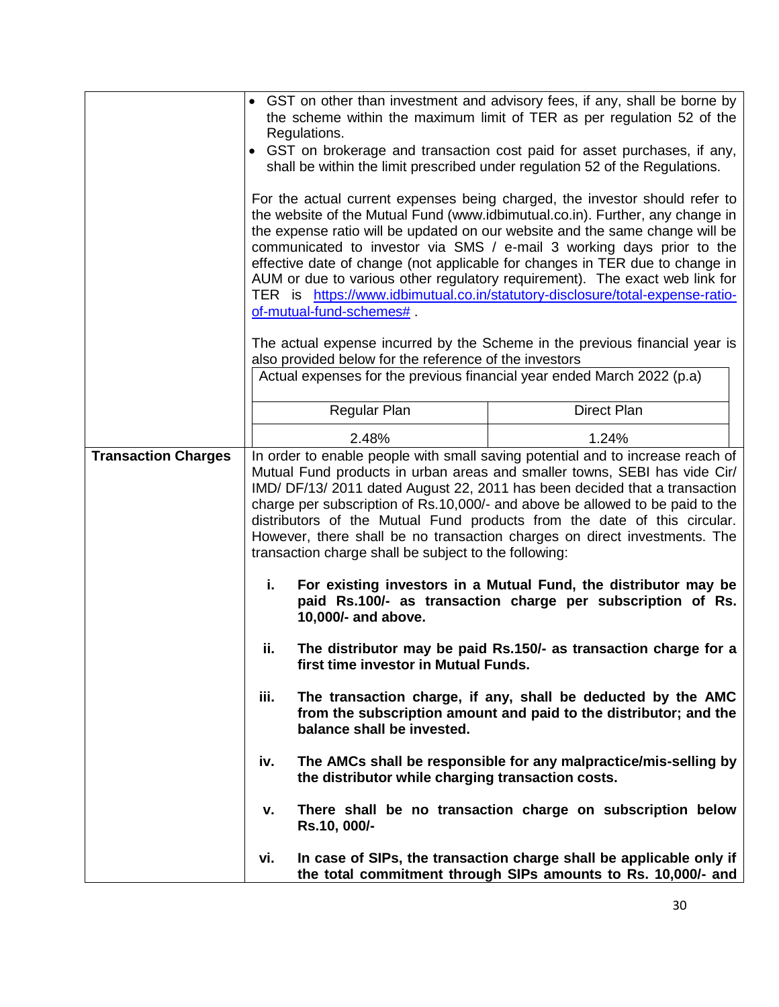|                            | • GST on other than investment and advisory fees, if any, shall be borne by<br>the scheme within the maximum limit of TER as per regulation 52 of the<br>Regulations.<br>• GST on brokerage and transaction cost paid for asset purchases, if any,<br>shall be within the limit prescribed under regulation 52 of the Regulations.<br>For the actual current expenses being charged, the investor should refer to<br>the website of the Mutual Fund (www.idbimutual.co.in). Further, any change in<br>the expense ratio will be updated on our website and the same change will be<br>communicated to investor via SMS / e-mail 3 working days prior to the<br>effective date of change (not applicable for changes in TER due to change in<br>AUM or due to various other regulatory requirement). The exact web link for<br>TER is https://www.idbimutual.co.in/statutory-disclosure/total-expense-ratio-<br>of-mutual-fund-schemes# |                                                        |                                                                                                                                                                                                                                                                                                                                                                                                                                                                                     |
|----------------------------|----------------------------------------------------------------------------------------------------------------------------------------------------------------------------------------------------------------------------------------------------------------------------------------------------------------------------------------------------------------------------------------------------------------------------------------------------------------------------------------------------------------------------------------------------------------------------------------------------------------------------------------------------------------------------------------------------------------------------------------------------------------------------------------------------------------------------------------------------------------------------------------------------------------------------------------|--------------------------------------------------------|-------------------------------------------------------------------------------------------------------------------------------------------------------------------------------------------------------------------------------------------------------------------------------------------------------------------------------------------------------------------------------------------------------------------------------------------------------------------------------------|
|                            |                                                                                                                                                                                                                                                                                                                                                                                                                                                                                                                                                                                                                                                                                                                                                                                                                                                                                                                                        |                                                        | The actual expense incurred by the Scheme in the previous financial year is                                                                                                                                                                                                                                                                                                                                                                                                         |
|                            |                                                                                                                                                                                                                                                                                                                                                                                                                                                                                                                                                                                                                                                                                                                                                                                                                                                                                                                                        | also provided below for the reference of the investors |                                                                                                                                                                                                                                                                                                                                                                                                                                                                                     |
|                            |                                                                                                                                                                                                                                                                                                                                                                                                                                                                                                                                                                                                                                                                                                                                                                                                                                                                                                                                        |                                                        | Actual expenses for the previous financial year ended March 2022 (p.a)                                                                                                                                                                                                                                                                                                                                                                                                              |
|                            |                                                                                                                                                                                                                                                                                                                                                                                                                                                                                                                                                                                                                                                                                                                                                                                                                                                                                                                                        | Regular Plan                                           | Direct Plan                                                                                                                                                                                                                                                                                                                                                                                                                                                                         |
|                            |                                                                                                                                                                                                                                                                                                                                                                                                                                                                                                                                                                                                                                                                                                                                                                                                                                                                                                                                        | 2.48%                                                  | 1.24%                                                                                                                                                                                                                                                                                                                                                                                                                                                                               |
| <b>Transaction Charges</b> |                                                                                                                                                                                                                                                                                                                                                                                                                                                                                                                                                                                                                                                                                                                                                                                                                                                                                                                                        | transaction charge shall be subject to the following:  | In order to enable people with small saving potential and to increase reach of<br>Mutual Fund products in urban areas and smaller towns, SEBI has vide Cir/<br>IMD/ DF/13/ 2011 dated August 22, 2011 has been decided that a transaction<br>charge per subscription of Rs.10,000/- and above be allowed to be paid to the<br>distributors of the Mutual Fund products from the date of this circular.<br>However, there shall be no transaction charges on direct investments. The |
|                            | i.                                                                                                                                                                                                                                                                                                                                                                                                                                                                                                                                                                                                                                                                                                                                                                                                                                                                                                                                     | 10,000/- and above.                                    | For existing investors in a Mutual Fund, the distributor may be<br>paid Rs.100/- as transaction charge per subscription of Rs.                                                                                                                                                                                                                                                                                                                                                      |
|                            | ii.                                                                                                                                                                                                                                                                                                                                                                                                                                                                                                                                                                                                                                                                                                                                                                                                                                                                                                                                    | first time investor in Mutual Funds.                   | The distributor may be paid Rs.150/- as transaction charge for a                                                                                                                                                                                                                                                                                                                                                                                                                    |
|                            | iii.                                                                                                                                                                                                                                                                                                                                                                                                                                                                                                                                                                                                                                                                                                                                                                                                                                                                                                                                   | balance shall be invested.                             | The transaction charge, if any, shall be deducted by the AMC<br>from the subscription amount and paid to the distributor; and the                                                                                                                                                                                                                                                                                                                                                   |
|                            | iv.                                                                                                                                                                                                                                                                                                                                                                                                                                                                                                                                                                                                                                                                                                                                                                                                                                                                                                                                    | the distributor while charging transaction costs.      | The AMCs shall be responsible for any malpractice/mis-selling by                                                                                                                                                                                                                                                                                                                                                                                                                    |
|                            | v.                                                                                                                                                                                                                                                                                                                                                                                                                                                                                                                                                                                                                                                                                                                                                                                                                                                                                                                                     | Rs.10, 000/-                                           | There shall be no transaction charge on subscription below                                                                                                                                                                                                                                                                                                                                                                                                                          |
|                            | vi.                                                                                                                                                                                                                                                                                                                                                                                                                                                                                                                                                                                                                                                                                                                                                                                                                                                                                                                                    |                                                        | In case of SIPs, the transaction charge shall be applicable only if<br>the total commitment through SIPs amounts to Rs. 10,000/- and                                                                                                                                                                                                                                                                                                                                                |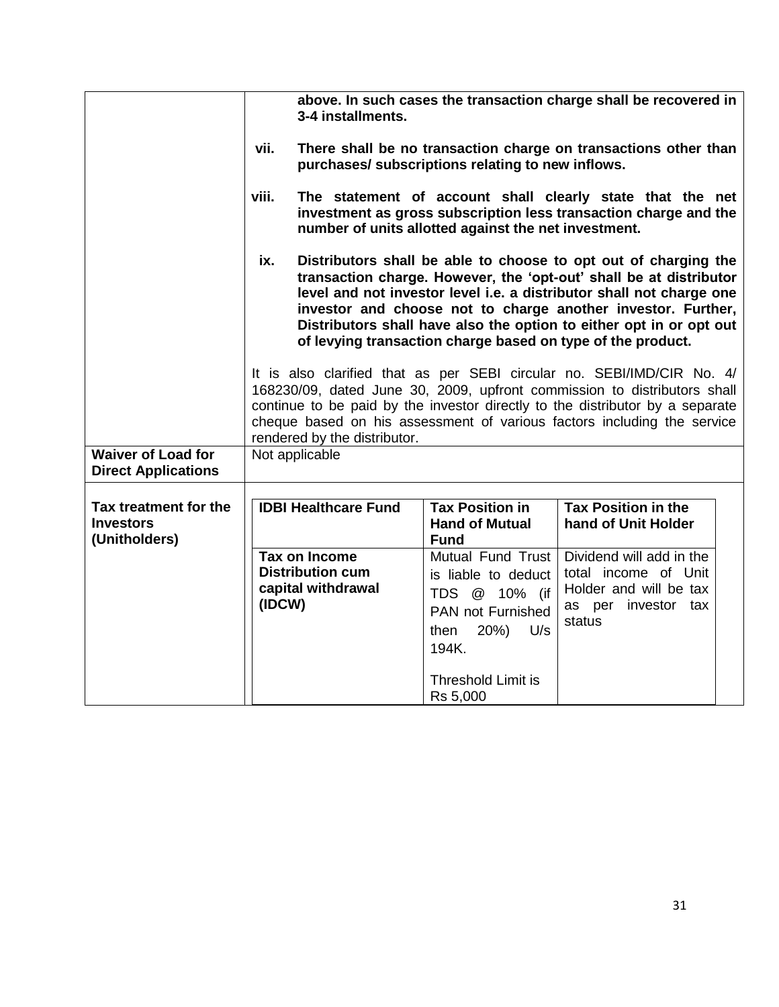|                                                            |        | 3-4 installments.                                                     |                                                                                                                                                           | above. In such cases the transaction charge shall be recovered in                                                                                                                                                                                                                                                                                                                                                   |  |
|------------------------------------------------------------|--------|-----------------------------------------------------------------------|-----------------------------------------------------------------------------------------------------------------------------------------------------------|---------------------------------------------------------------------------------------------------------------------------------------------------------------------------------------------------------------------------------------------------------------------------------------------------------------------------------------------------------------------------------------------------------------------|--|
|                                                            | vii.   |                                                                       | purchases/ subscriptions relating to new inflows.                                                                                                         | There shall be no transaction charge on transactions other than                                                                                                                                                                                                                                                                                                                                                     |  |
|                                                            | viii.  |                                                                       | number of units allotted against the net investment.                                                                                                      | The statement of account shall clearly state that the net<br>investment as gross subscription less transaction charge and the                                                                                                                                                                                                                                                                                       |  |
|                                                            | ix.    |                                                                       |                                                                                                                                                           | Distributors shall be able to choose to opt out of charging the<br>transaction charge. However, the 'opt-out' shall be at distributor<br>level and not investor level i.e. a distributor shall not charge one<br>investor and choose not to charge another investor. Further,<br>Distributors shall have also the option to either opt in or opt out<br>of levying transaction charge based on type of the product. |  |
|                                                            |        | rendered by the distributor.                                          |                                                                                                                                                           | It is also clarified that as per SEBI circular no. SEBI/IMD/CIR No. 4/<br>168230/09, dated June 30, 2009, upfront commission to distributors shall<br>continue to be paid by the investor directly to the distributor by a separate<br>cheque based on his assessment of various factors including the service                                                                                                      |  |
| <b>Waiver of Load for</b><br><b>Direct Applications</b>    |        | Not applicable                                                        |                                                                                                                                                           |                                                                                                                                                                                                                                                                                                                                                                                                                     |  |
| Tax treatment for the<br><b>Investors</b><br>(Unitholders) |        | <b>IDBI Healthcare Fund</b>                                           | <b>Tax Position in</b><br><b>Hand of Mutual</b><br><b>Fund</b>                                                                                            | <b>Tax Position in the</b><br>hand of Unit Holder                                                                                                                                                                                                                                                                                                                                                                   |  |
|                                                            | (IDCW) | <b>Tax on Income</b><br><b>Distribution cum</b><br>capital withdrawal | <b>Mutual Fund Trust</b><br>is liable to deduct<br>TDS @ 10% (if<br><b>PAN not Furnished</b><br>20%)<br>U/s<br>then<br>194K.<br><b>Threshold Limit is</b> | Dividend will add in the<br>total income of Unit<br>Holder and will be tax<br>as per investor tax<br>status                                                                                                                                                                                                                                                                                                         |  |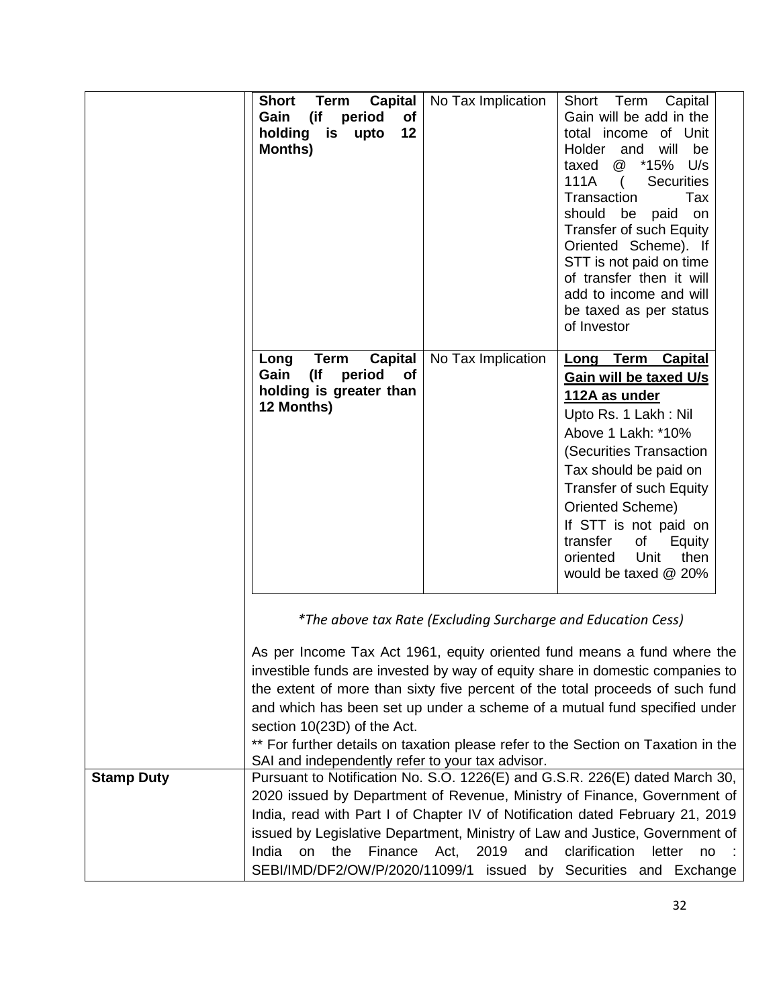|                   | <b>Short</b><br><b>Capital</b><br><b>Term</b><br>(if<br>Gain<br>period<br>of<br>holding<br>is<br>12<br>upto<br>Months) | No Tax Implication                                           | Capital<br>Short<br>Term<br>Gain will be add in the<br>total income of Unit<br>Holder<br>will<br>be<br>and<br>*15%<br>U/s<br>taxed<br>@<br>111A<br><b>Securities</b><br>$\left($<br>Transaction<br>Tax<br>should<br>be<br>paid<br>on<br>Transfer of such Equity<br>Oriented Scheme). If<br>STT is not paid on time<br>of transfer then it will<br>add to income and will<br>be taxed as per status<br>of Investor             |
|-------------------|------------------------------------------------------------------------------------------------------------------------|--------------------------------------------------------------|-------------------------------------------------------------------------------------------------------------------------------------------------------------------------------------------------------------------------------------------------------------------------------------------------------------------------------------------------------------------------------------------------------------------------------|
|                   | <b>Capital</b><br>Long<br><b>Term</b><br>$($ lf<br>Gain<br>period<br>of<br>holding is greater than<br>12 Months)       | No Tax Implication                                           | Term Capital<br><u>Long</u><br>Gain will be taxed U/s<br>112A as under<br>Upto Rs. 1 Lakh: Nil<br>Above 1 Lakh: *10%<br>(Securities Transaction<br>Tax should be paid on<br><b>Transfer of such Equity</b><br>Oriented Scheme)<br>If STT is not paid on<br>of<br>transfer<br>Equity<br>oriented<br>Unit<br>then<br>would be taxed @ 20%                                                                                       |
|                   | section 10(23D) of the Act.<br>SAI and independently refer to your tax advisor.                                        | *The above tax Rate (Excluding Surcharge and Education Cess) | As per Income Tax Act 1961, equity oriented fund means a fund where the<br>investible funds are invested by way of equity share in domestic companies to<br>the extent of more than sixty five percent of the total proceeds of such fund<br>and which has been set up under a scheme of a mutual fund specified under<br>** For further details on taxation please refer to the Section on Taxation in the                   |
| <b>Stamp Duty</b> | the<br>Finance<br>India<br>on                                                                                          | Act,<br>2019<br>and                                          | Pursuant to Notification No. S.O. 1226(E) and G.S.R. 226(E) dated March 30,<br>2020 issued by Department of Revenue, Ministry of Finance, Government of<br>India, read with Part I of Chapter IV of Notification dated February 21, 2019<br>issued by Legislative Department, Ministry of Law and Justice, Government of<br>clarification<br>letter<br>no<br>SEBI/IMD/DF2/OW/P/2020/11099/1 issued by Securities and Exchange |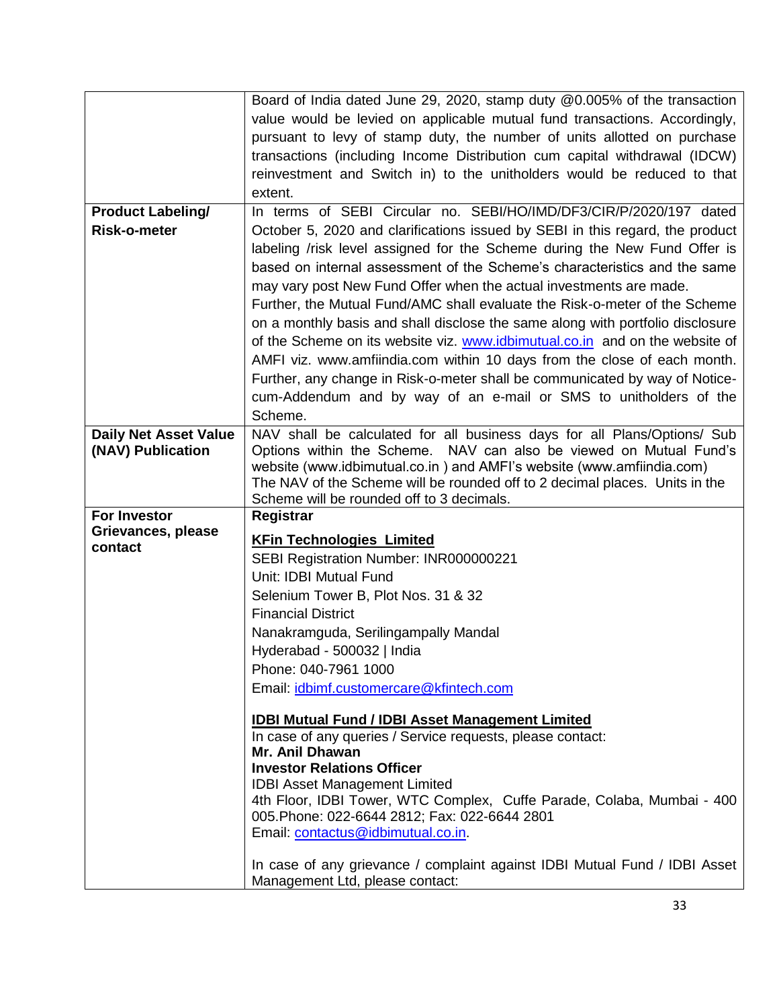|                              | Board of India dated June 29, 2020, stamp duty @0.005% of the transaction      |
|------------------------------|--------------------------------------------------------------------------------|
|                              | value would be levied on applicable mutual fund transactions. Accordingly,     |
|                              | pursuant to levy of stamp duty, the number of units allotted on purchase       |
|                              | transactions (including Income Distribution cum capital withdrawal (IDCW)      |
|                              | reinvestment and Switch in) to the unitholders would be reduced to that        |
|                              | extent.                                                                        |
|                              | In terms of SEBI Circular no. SEBI/HO/IMD/DF3/CIR/P/2020/197 dated             |
| <b>Product Labeling/</b>     |                                                                                |
| Risk-o-meter                 | October 5, 2020 and clarifications issued by SEBI in this regard, the product  |
|                              | labeling /risk level assigned for the Scheme during the New Fund Offer is      |
|                              | based on internal assessment of the Scheme's characteristics and the same      |
|                              | may vary post New Fund Offer when the actual investments are made.             |
|                              | Further, the Mutual Fund/AMC shall evaluate the Risk-o-meter of the Scheme     |
|                              | on a monthly basis and shall disclose the same along with portfolio disclosure |
|                              | of the Scheme on its website viz. www.idbimutual.co.in and on the website of   |
|                              | AMFI viz. www.amfiindia.com within 10 days from the close of each month.       |
|                              | Further, any change in Risk-o-meter shall be communicated by way of Notice-    |
|                              |                                                                                |
|                              | cum-Addendum and by way of an e-mail or SMS to unitholders of the              |
|                              | Scheme.                                                                        |
| <b>Daily Net Asset Value</b> | NAV shall be calculated for all business days for all Plans/Options/ Sub       |
| (NAV) Publication            | Options within the Scheme. NAV can also be viewed on Mutual Fund's             |
|                              | website (www.idbimutual.co.in) and AMFI's website (www.amfiindia.com)          |
|                              | The NAV of the Scheme will be rounded off to 2 decimal places. Units in the    |
|                              | Scheme will be rounded off to 3 decimals.                                      |
| For Investor                 | Registrar                                                                      |
| Grievances, please           | <b>KFin Technologies Limited</b>                                               |
| contact                      | SEBI Registration Number: INR000000221                                         |
|                              | Unit: IDBI Mutual Fund                                                         |
|                              | Selenium Tower B, Plot Nos. 31 & 32                                            |
|                              | <b>Financial District</b>                                                      |
|                              |                                                                                |
|                              |                                                                                |
|                              | Nanakramguda, Serilingampally Mandal                                           |
|                              | Hyderabad - 500032   India                                                     |
|                              | Phone: 040-7961 1000                                                           |
|                              | Email: <i>idbimf.customercare@kfintech.com</i>                                 |
|                              |                                                                                |
|                              | <b>IDBI Mutual Fund / IDBI Asset Management Limited</b>                        |
|                              | In case of any queries / Service requests, please contact:                     |
|                              | Mr. Anil Dhawan                                                                |
|                              | <b>Investor Relations Officer</b>                                              |
|                              | <b>IDBI Asset Management Limited</b>                                           |
|                              | 4th Floor, IDBI Tower, WTC Complex, Cuffe Parade, Colaba, Mumbai - 400         |
|                              | 005. Phone: 022-6644 2812; Fax: 022-6644 2801                                  |
|                              | Email: contactus@idbimutual.co.in.                                             |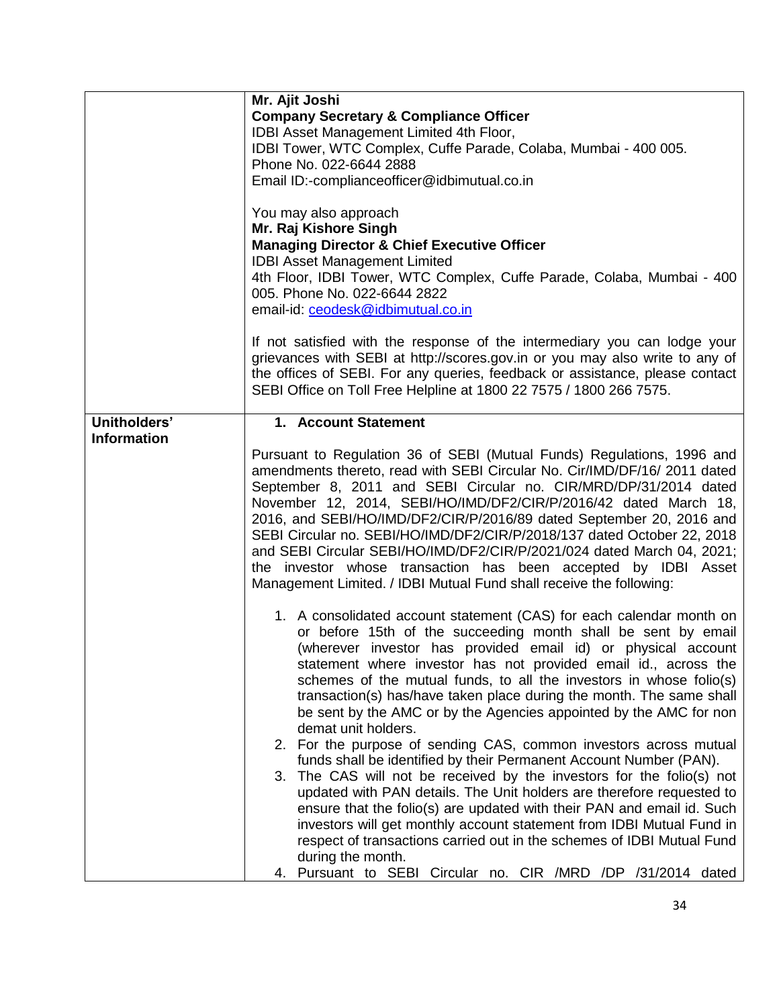|                    | Mr. Ajit Joshi<br><b>Company Secretary &amp; Compliance Officer</b><br>IDBI Asset Management Limited 4th Floor,<br>IDBI Tower, WTC Complex, Cuffe Parade, Colaba, Mumbai - 400 005.<br>Phone No. 022-6644 2888<br>Email ID:-complianceofficer@idbimutual.co.in<br>You may also approach<br>Mr. Raj Kishore Singh<br><b>Managing Director &amp; Chief Executive Officer</b><br><b>IDBI Asset Management Limited</b><br>4th Floor, IDBI Tower, WTC Complex, Cuffe Parade, Colaba, Mumbai - 400<br>005. Phone No. 022-6644 2822<br>email-id: ceodesk@idbimutual.co.in                                                                                                                                                                                                                                                                                                                                                                                                                                                                                                                                                                   |
|--------------------|--------------------------------------------------------------------------------------------------------------------------------------------------------------------------------------------------------------------------------------------------------------------------------------------------------------------------------------------------------------------------------------------------------------------------------------------------------------------------------------------------------------------------------------------------------------------------------------------------------------------------------------------------------------------------------------------------------------------------------------------------------------------------------------------------------------------------------------------------------------------------------------------------------------------------------------------------------------------------------------------------------------------------------------------------------------------------------------------------------------------------------------|
|                    | If not satisfied with the response of the intermediary you can lodge your<br>grievances with SEBI at http://scores.gov.in or you may also write to any of<br>the offices of SEBI. For any queries, feedback or assistance, please contact<br>SEBI Office on Toll Free Helpline at 1800 22 7575 / 1800 266 7575.                                                                                                                                                                                                                                                                                                                                                                                                                                                                                                                                                                                                                                                                                                                                                                                                                      |
| Unitholders'       | 1. Account Statement                                                                                                                                                                                                                                                                                                                                                                                                                                                                                                                                                                                                                                                                                                                                                                                                                                                                                                                                                                                                                                                                                                                 |
| <b>Information</b> | Pursuant to Regulation 36 of SEBI (Mutual Funds) Regulations, 1996 and<br>amendments thereto, read with SEBI Circular No. Cir/IMD/DF/16/ 2011 dated<br>September 8, 2011 and SEBI Circular no. CIR/MRD/DP/31/2014 dated<br>November 12, 2014, SEBI/HO/IMD/DF2/CIR/P/2016/42 dated March 18,<br>2016, and SEBI/HO/IMD/DF2/CIR/P/2016/89 dated September 20, 2016 and<br>SEBI Circular no. SEBI/HO/IMD/DF2/CIR/P/2018/137 dated October 22, 2018<br>and SEBI Circular SEBI/HO/IMD/DF2/CIR/P/2021/024 dated March 04, 2021;<br>the investor whose transaction has been accepted by IDBI Asset<br>Management Limited. / IDBI Mutual Fund shall receive the following:                                                                                                                                                                                                                                                                                                                                                                                                                                                                    |
|                    | 1. A consolidated account statement (CAS) for each calendar month on<br>or before 15th of the succeeding month shall be sent by email<br>(wherever investor has provided email id) or physical account<br>statement where investor has not provided email id., across the<br>schemes of the mutual funds, to all the investors in whose folio(s)<br>transaction(s) has/have taken place during the month. The same shall<br>be sent by the AMC or by the Agencies appointed by the AMC for non<br>demat unit holders.<br>2. For the purpose of sending CAS, common investors across mutual<br>funds shall be identified by their Permanent Account Number (PAN).<br>3. The CAS will not be received by the investors for the folio(s) not<br>updated with PAN details. The Unit holders are therefore requested to<br>ensure that the folio(s) are updated with their PAN and email id. Such<br>investors will get monthly account statement from IDBI Mutual Fund in<br>respect of transactions carried out in the schemes of IDBI Mutual Fund<br>during the month.<br>4. Pursuant to SEBI Circular no. CIR /MRD /DP /31/2014 dated |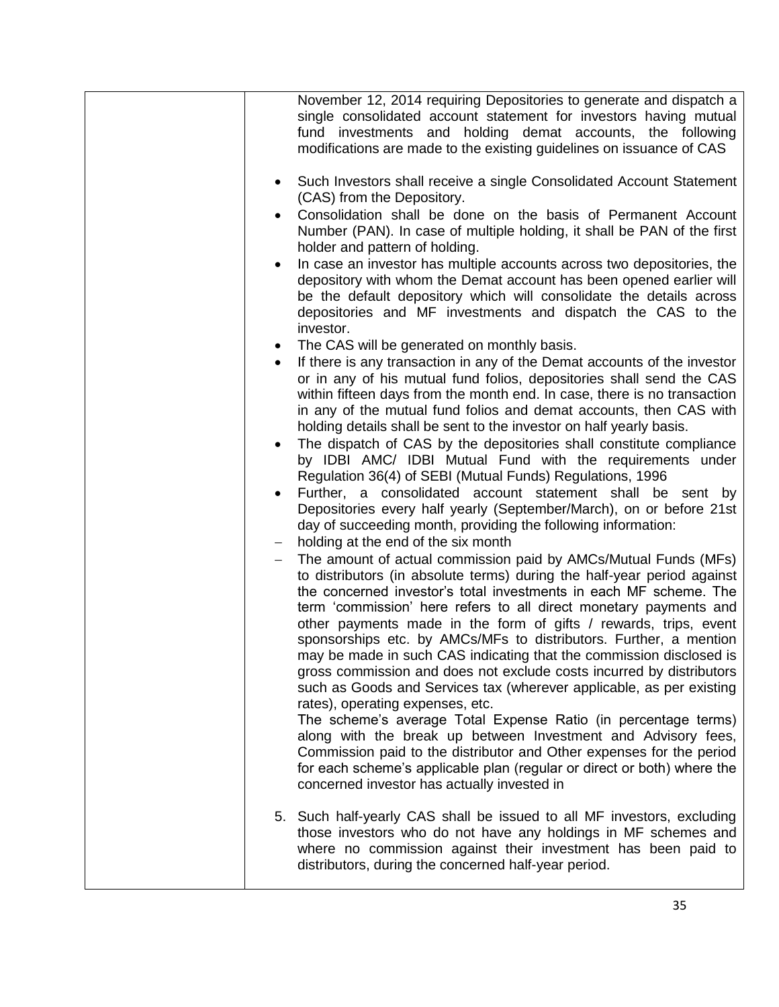|           | November 12, 2014 requiring Depositories to generate and dispatch a                                                                                                                                                                                                                                                                                                                                                                                                                                                                                                                                                                                                                                                                                                                                                                                                                                                                                                            |
|-----------|--------------------------------------------------------------------------------------------------------------------------------------------------------------------------------------------------------------------------------------------------------------------------------------------------------------------------------------------------------------------------------------------------------------------------------------------------------------------------------------------------------------------------------------------------------------------------------------------------------------------------------------------------------------------------------------------------------------------------------------------------------------------------------------------------------------------------------------------------------------------------------------------------------------------------------------------------------------------------------|
|           | single consolidated account statement for investors having mutual<br>fund investments and holding demat accounts, the following<br>modifications are made to the existing guidelines on issuance of CAS                                                                                                                                                                                                                                                                                                                                                                                                                                                                                                                                                                                                                                                                                                                                                                        |
| ٠         | Such Investors shall receive a single Consolidated Account Statement<br>(CAS) from the Depository.                                                                                                                                                                                                                                                                                                                                                                                                                                                                                                                                                                                                                                                                                                                                                                                                                                                                             |
|           | Consolidation shall be done on the basis of Permanent Account<br>Number (PAN). In case of multiple holding, it shall be PAN of the first<br>holder and pattern of holding.                                                                                                                                                                                                                                                                                                                                                                                                                                                                                                                                                                                                                                                                                                                                                                                                     |
| $\bullet$ | In case an investor has multiple accounts across two depositories, the<br>depository with whom the Demat account has been opened earlier will<br>be the default depository which will consolidate the details across<br>depositories and MF investments and dispatch the CAS to the<br>investor.                                                                                                                                                                                                                                                                                                                                                                                                                                                                                                                                                                                                                                                                               |
| $\bullet$ | The CAS will be generated on monthly basis.                                                                                                                                                                                                                                                                                                                                                                                                                                                                                                                                                                                                                                                                                                                                                                                                                                                                                                                                    |
|           | If there is any transaction in any of the Demat accounts of the investor<br>or in any of his mutual fund folios, depositories shall send the CAS<br>within fifteen days from the month end. In case, there is no transaction<br>in any of the mutual fund folios and demat accounts, then CAS with<br>holding details shall be sent to the investor on half yearly basis.<br>The dispatch of CAS by the depositories shall constitute compliance<br>by IDBI AMC/ IDBI Mutual Fund with the requirements under                                                                                                                                                                                                                                                                                                                                                                                                                                                                  |
|           | Regulation 36(4) of SEBI (Mutual Funds) Regulations, 1996<br>Further, a consolidated account statement shall be sent by<br>Depositories every half yearly (September/March), on or before 21st<br>day of succeeding month, providing the following information:                                                                                                                                                                                                                                                                                                                                                                                                                                                                                                                                                                                                                                                                                                                |
|           | holding at the end of the six month                                                                                                                                                                                                                                                                                                                                                                                                                                                                                                                                                                                                                                                                                                                                                                                                                                                                                                                                            |
|           | The amount of actual commission paid by AMCs/Mutual Funds (MFs)<br>to distributors (in absolute terms) during the half-year period against<br>the concerned investor's total investments in each MF scheme. The<br>term 'commission' here refers to all direct monetary payments and<br>other payments made in the form of gifts / rewards, trips, event<br>sponsorships etc. by AMCs/MFs to distributors. Further, a mention<br>may be made in such CAS indicating that the commission disclosed is<br>gross commission and does not exclude costs incurred by distributors<br>such as Goods and Services tax (wherever applicable, as per existing<br>rates), operating expenses, etc.<br>The scheme's average Total Expense Ratio (in percentage terms)<br>along with the break up between Investment and Advisory fees,<br>Commission paid to the distributor and Other expenses for the period<br>for each scheme's applicable plan (regular or direct or both) where the |
|           | concerned investor has actually invested in                                                                                                                                                                                                                                                                                                                                                                                                                                                                                                                                                                                                                                                                                                                                                                                                                                                                                                                                    |
|           | 5. Such half-yearly CAS shall be issued to all MF investors, excluding<br>those investors who do not have any holdings in MF schemes and<br>where no commission against their investment has been paid to<br>distributors, during the concerned half-year period.                                                                                                                                                                                                                                                                                                                                                                                                                                                                                                                                                                                                                                                                                                              |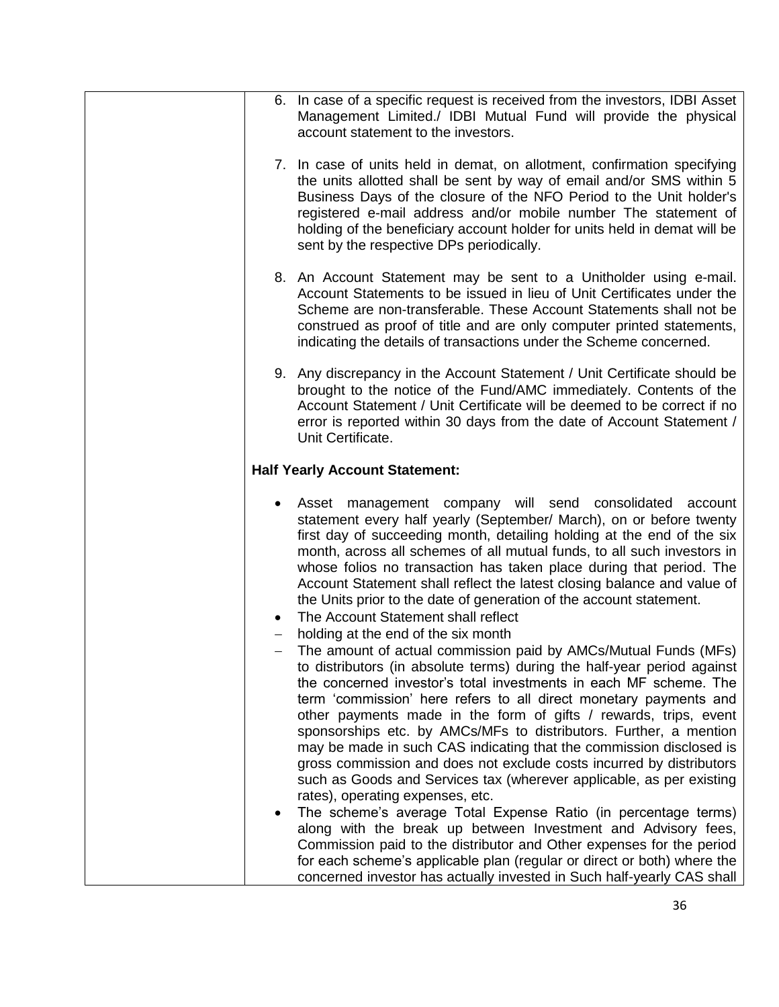|                          | 6. In case of a specific request is received from the investors, IDBI Asset<br>Management Limited./ IDBI Mutual Fund will provide the physical<br>account statement to the investors.                                                                                                                                                                                                                                                                                                                                                                                                                                                                                                                                                                                                                                                                                                                                                                                                                                                                    |
|--------------------------|----------------------------------------------------------------------------------------------------------------------------------------------------------------------------------------------------------------------------------------------------------------------------------------------------------------------------------------------------------------------------------------------------------------------------------------------------------------------------------------------------------------------------------------------------------------------------------------------------------------------------------------------------------------------------------------------------------------------------------------------------------------------------------------------------------------------------------------------------------------------------------------------------------------------------------------------------------------------------------------------------------------------------------------------------------|
|                          | 7. In case of units held in demat, on allotment, confirmation specifying<br>the units allotted shall be sent by way of email and/or SMS within 5<br>Business Days of the closure of the NFO Period to the Unit holder's<br>registered e-mail address and/or mobile number The statement of<br>holding of the beneficiary account holder for units held in demat will be<br>sent by the respective DPs periodically.                                                                                                                                                                                                                                                                                                                                                                                                                                                                                                                                                                                                                                      |
|                          | 8. An Account Statement may be sent to a Unitholder using e-mail.<br>Account Statements to be issued in lieu of Unit Certificates under the<br>Scheme are non-transferable. These Account Statements shall not be<br>construed as proof of title and are only computer printed statements,<br>indicating the details of transactions under the Scheme concerned.                                                                                                                                                                                                                                                                                                                                                                                                                                                                                                                                                                                                                                                                                         |
|                          | 9. Any discrepancy in the Account Statement / Unit Certificate should be<br>brought to the notice of the Fund/AMC immediately. Contents of the<br>Account Statement / Unit Certificate will be deemed to be correct if no<br>error is reported within 30 days from the date of Account Statement /<br>Unit Certificate.                                                                                                                                                                                                                                                                                                                                                                                                                                                                                                                                                                                                                                                                                                                                  |
|                          | <b>Half Yearly Account Statement:</b>                                                                                                                                                                                                                                                                                                                                                                                                                                                                                                                                                                                                                                                                                                                                                                                                                                                                                                                                                                                                                    |
|                          | Asset management company will send consolidated account<br>statement every half yearly (September/ March), on or before twenty<br>first day of succeeding month, detailing holding at the end of the six<br>month, across all schemes of all mutual funds, to all such investors in<br>whose folios no transaction has taken place during that period. The<br>Account Statement shall reflect the latest closing balance and value of<br>the Units prior to the date of generation of the account statement.<br>The Account Statement shall reflect<br>holding at the end of the six month                                                                                                                                                                                                                                                                                                                                                                                                                                                               |
| $\overline{\phantom{0}}$ | The amount of actual commission paid by AMCs/Mutual Funds (MFs)<br>to distributors (in absolute terms) during the half-year period against<br>the concerned investor's total investments in each MF scheme. The<br>term 'commission' here refers to all direct monetary payments and<br>other payments made in the form of gifts / rewards, trips, event<br>sponsorships etc. by AMCs/MFs to distributors. Further, a mention<br>may be made in such CAS indicating that the commission disclosed is<br>gross commission and does not exclude costs incurred by distributors<br>such as Goods and Services tax (wherever applicable, as per existing<br>rates), operating expenses, etc.<br>The scheme's average Total Expense Ratio (in percentage terms)<br>along with the break up between Investment and Advisory fees,<br>Commission paid to the distributor and Other expenses for the period<br>for each scheme's applicable plan (regular or direct or both) where the<br>concerned investor has actually invested in Such half-yearly CAS shall |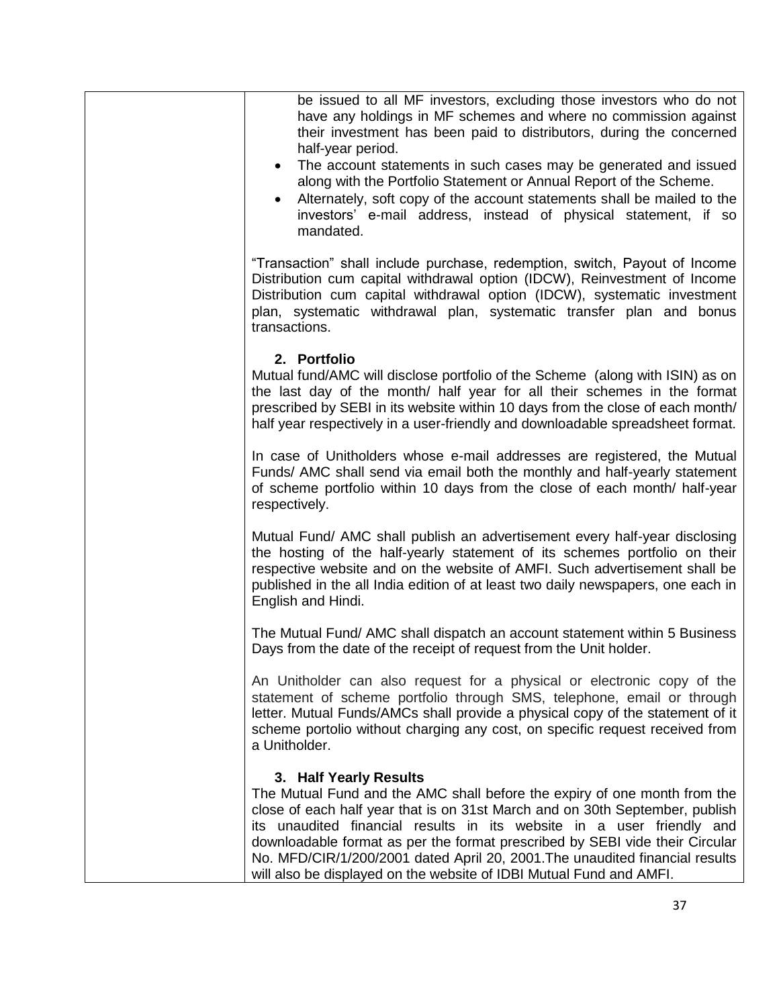| be issued to all MF investors, excluding those investors who do not<br>have any holdings in MF schemes and where no commission against<br>their investment has been paid to distributors, during the concerned<br>half-year period.<br>The account statements in such cases may be generated and issued<br>$\bullet$                                                                                                                                                                                |
|-----------------------------------------------------------------------------------------------------------------------------------------------------------------------------------------------------------------------------------------------------------------------------------------------------------------------------------------------------------------------------------------------------------------------------------------------------------------------------------------------------|
| along with the Portfolio Statement or Annual Report of the Scheme.<br>Alternately, soft copy of the account statements shall be mailed to the<br>$\bullet$<br>investors' e-mail address, instead of physical statement, if so<br>mandated.                                                                                                                                                                                                                                                          |
| "Transaction" shall include purchase, redemption, switch, Payout of Income<br>Distribution cum capital withdrawal option (IDCW), Reinvestment of Income<br>Distribution cum capital withdrawal option (IDCW), systematic investment<br>plan, systematic withdrawal plan, systematic transfer plan and bonus<br>transactions.                                                                                                                                                                        |
| 2. Portfolio<br>Mutual fund/AMC will disclose portfolio of the Scheme (along with ISIN) as on<br>the last day of the month/ half year for all their schemes in the format<br>prescribed by SEBI in its website within 10 days from the close of each month/<br>half year respectively in a user-friendly and downloadable spreadsheet format.                                                                                                                                                       |
| In case of Unitholders whose e-mail addresses are registered, the Mutual<br>Funds/ AMC shall send via email both the monthly and half-yearly statement<br>of scheme portfolio within 10 days from the close of each month/ half-year<br>respectively.                                                                                                                                                                                                                                               |
| Mutual Fund/ AMC shall publish an advertisement every half-year disclosing<br>the hosting of the half-yearly statement of its schemes portfolio on their<br>respective website and on the website of AMFI. Such advertisement shall be<br>published in the all India edition of at least two daily newspapers, one each in<br>English and Hindi.                                                                                                                                                    |
| The Mutual Fund/ AMC shall dispatch an account statement within 5 Business<br>Days from the date of the receipt of request from the Unit holder.                                                                                                                                                                                                                                                                                                                                                    |
| An Unitholder can also request for a physical or electronic copy of the<br>statement of scheme portfolio through SMS, telephone, email or through<br>letter. Mutual Funds/AMCs shall provide a physical copy of the statement of it<br>scheme portolio without charging any cost, on specific request received from<br>a Unitholder.                                                                                                                                                                |
| 3. Half Yearly Results<br>The Mutual Fund and the AMC shall before the expiry of one month from the<br>close of each half year that is on 31st March and on 30th September, publish<br>its unaudited financial results in its website in a user friendly and<br>downloadable format as per the format prescribed by SEBI vide their Circular<br>No. MFD/CIR/1/200/2001 dated April 20, 2001. The unaudited financial results<br>will also be displayed on the website of IDBI Mutual Fund and AMFI. |
| 37                                                                                                                                                                                                                                                                                                                                                                                                                                                                                                  |